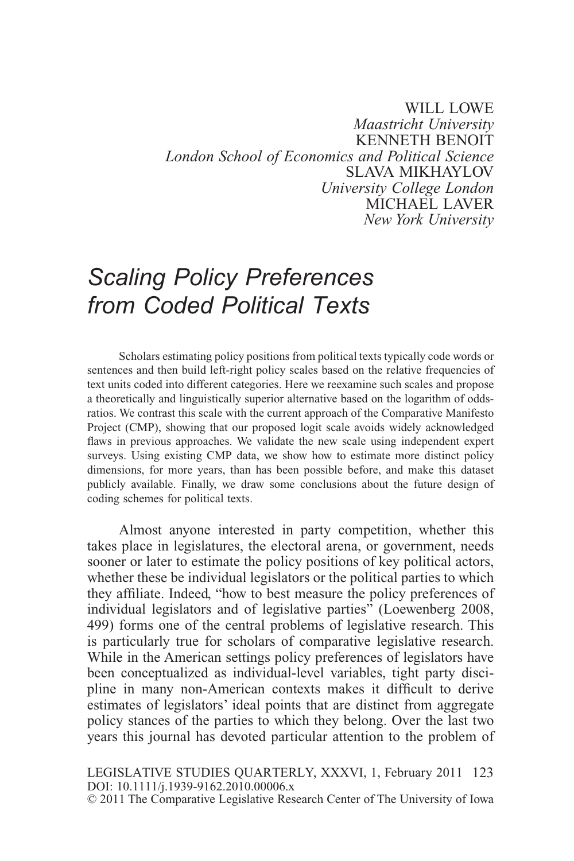# WILL LOWE *Maastricht University* KENNETH BENOIT *London School of Economics and Political Science* SLAVA MIKHAYLOV *University College London* MICHAEL LAVER *New York University*

# *Scaling Policy Preferences from Coded Political Texts*

Scholars estimating policy positions from political texts typically code words or sentences and then build left-right policy scales based on the relative frequencies of text units coded into different categories. Here we reexamine such scales and propose a theoretically and linguistically superior alternative based on the logarithm of oddsratios. We contrast this scale with the current approach of the Comparative Manifesto Project (CMP), showing that our proposed logit scale avoids widely acknowledged flaws in previous approaches. We validate the new scale using independent expert surveys. Using existing CMP data, we show how to estimate more distinct policy dimensions, for more years, than has been possible before, and make this dataset publicly available. Finally, we draw some conclusions about the future design of coding schemes for political texts.

Almost anyone interested in party competition, whether this takes place in legislatures, the electoral arena, or government, needs sooner or later to estimate the policy positions of key political actors, whether these be individual legislators or the political parties to which they affiliate. Indeed, "how to best measure the policy preferences of individual legislators and of legislative parties" (Loewenberg 2008, 499) forms one of the central problems of legislative research. This is particularly true for scholars of comparative legislative research. While in the American settings policy preferences of legislators have been conceptualized as individual-level variables, tight party discipline in many non-American contexts makes it difficult to derive estimates of legislators' ideal points that are distinct from aggregate policy stances of the parties to which they belong. Over the last two years this journal has devoted particular attention to the problem of

LEGISLATIVE STUDIES QUARTERLY, XXXVI, 1, February 2011 123 DOI: 10.1111/j.1939-9162.2010.00006.x © 2011 The Comparative Legislative Research Center of The University of Iowa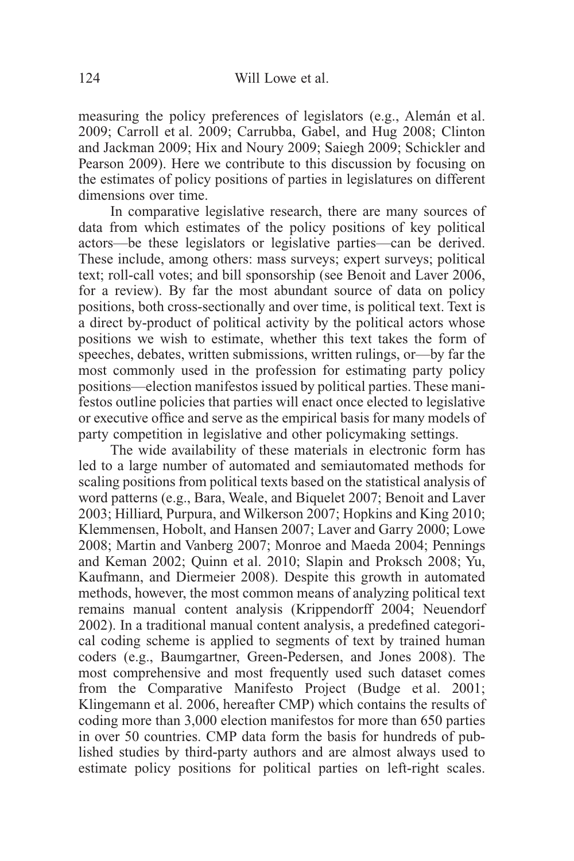measuring the policy preferences of legislators (e.g., Alemán et al. 2009; Carroll et al. 2009; Carrubba, Gabel, and Hug 2008; Clinton and Jackman 2009; Hix and Noury 2009; Saiegh 2009; Schickler and Pearson 2009). Here we contribute to this discussion by focusing on the estimates of policy positions of parties in legislatures on different dimensions over time.

In comparative legislative research, there are many sources of data from which estimates of the policy positions of key political actors—be these legislators or legislative parties—can be derived. These include, among others: mass surveys; expert surveys; political text; roll-call votes; and bill sponsorship (see Benoit and Laver 2006, for a review). By far the most abundant source of data on policy positions, both cross-sectionally and over time, is political text. Text is a direct by-product of political activity by the political actors whose positions we wish to estimate, whether this text takes the form of speeches, debates, written submissions, written rulings, or—by far the most commonly used in the profession for estimating party policy positions—election manifestos issued by political parties. These manifestos outline policies that parties will enact once elected to legislative or executive office and serve as the empirical basis for many models of party competition in legislative and other policymaking settings.

The wide availability of these materials in electronic form has led to a large number of automated and semiautomated methods for scaling positions from political texts based on the statistical analysis of word patterns (e.g., Bara, Weale, and Biquelet 2007; Benoit and Laver 2003; Hilliard, Purpura, and Wilkerson 2007; Hopkins and King 2010; Klemmensen, Hobolt, and Hansen 2007; Laver and Garry 2000; Lowe 2008; Martin and Vanberg 2007; Monroe and Maeda 2004; Pennings and Keman 2002; Quinn et al. 2010; Slapin and Proksch 2008; Yu, Kaufmann, and Diermeier 2008). Despite this growth in automated methods, however, the most common means of analyzing political text remains manual content analysis (Krippendorff 2004; Neuendorf 2002). In a traditional manual content analysis, a predefined categorical coding scheme is applied to segments of text by trained human coders (e.g., Baumgartner, Green-Pedersen, and Jones 2008). The most comprehensive and most frequently used such dataset comes from the Comparative Manifesto Project (Budge et al. 2001; Klingemann et al. 2006, hereafter CMP) which contains the results of coding more than 3,000 election manifestos for more than 650 parties in over 50 countries. CMP data form the basis for hundreds of published studies by third-party authors and are almost always used to estimate policy positions for political parties on left-right scales.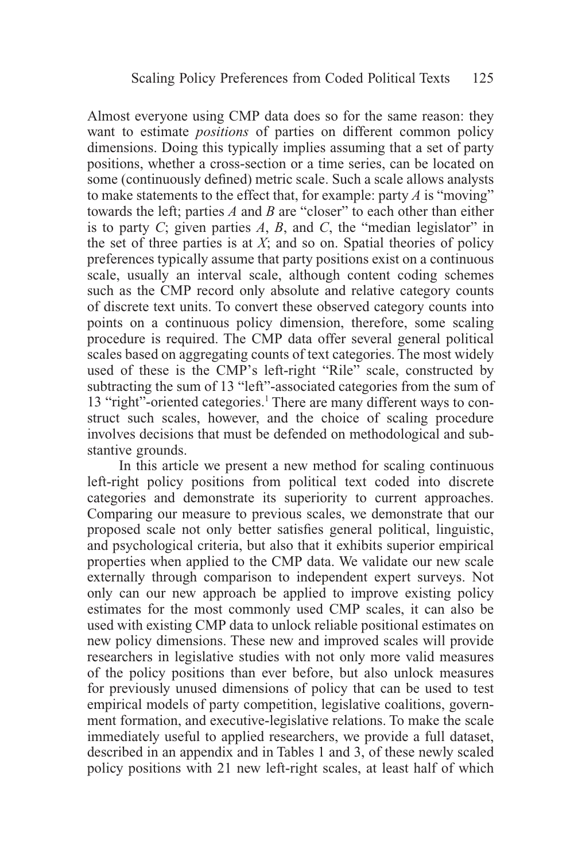Almost everyone using CMP data does so for the same reason: they want to estimate *positions* of parties on different common policy dimensions. Doing this typically implies assuming that a set of party positions, whether a cross-section or a time series, can be located on some (continuously defined) metric scale. Such a scale allows analysts to make statements to the effect that, for example: party *A* is "moving" towards the left; parties *A* and *B* are "closer" to each other than either is to party *C*; given parties *A*, *B*, and *C*, the "median legislator" in the set of three parties is at *X*; and so on. Spatial theories of policy preferences typically assume that party positions exist on a continuous scale, usually an interval scale, although content coding schemes such as the CMP record only absolute and relative category counts of discrete text units. To convert these observed category counts into points on a continuous policy dimension, therefore, some scaling procedure is required. The CMP data offer several general political scales based on aggregating counts of text categories. The most widely used of these is the CMP's left-right "Rile" scale, constructed by subtracting the sum of 13 "left"-associated categories from the sum of 13 "right"-oriented categories.<sup>1</sup> There are many different ways to construct such scales, however, and the choice of scaling procedure involves decisions that must be defended on methodological and substantive grounds.

In this article we present a new method for scaling continuous left-right policy positions from political text coded into discrete categories and demonstrate its superiority to current approaches. Comparing our measure to previous scales, we demonstrate that our proposed scale not only better satisfies general political, linguistic, and psychological criteria, but also that it exhibits superior empirical properties when applied to the CMP data. We validate our new scale externally through comparison to independent expert surveys. Not only can our new approach be applied to improve existing policy estimates for the most commonly used CMP scales, it can also be used with existing CMP data to unlock reliable positional estimates on new policy dimensions. These new and improved scales will provide researchers in legislative studies with not only more valid measures of the policy positions than ever before, but also unlock measures for previously unused dimensions of policy that can be used to test empirical models of party competition, legislative coalitions, government formation, and executive-legislative relations. To make the scale immediately useful to applied researchers, we provide a full dataset, described in an appendix and in Tables 1 and 3, of these newly scaled policy positions with 21 new left-right scales, at least half of which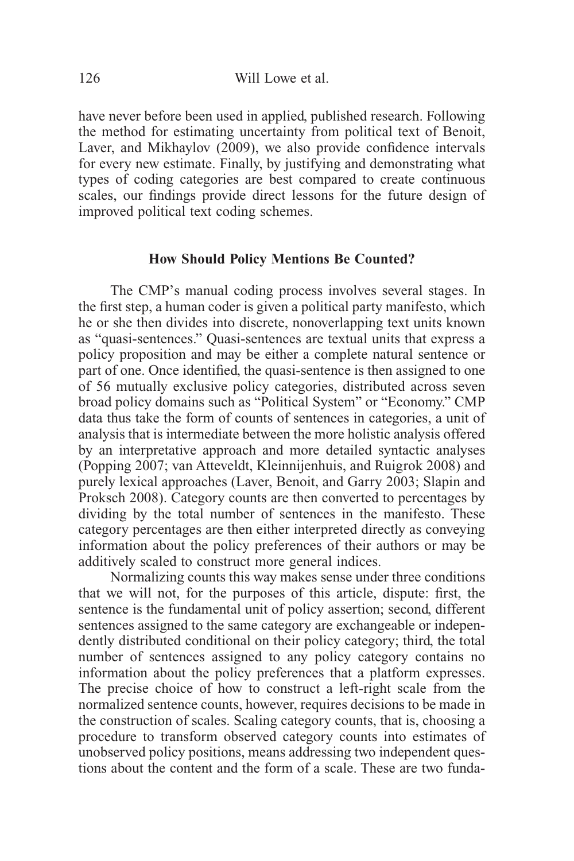have never before been used in applied, published research. Following the method for estimating uncertainty from political text of Benoit, Laver, and Mikhaylov (2009), we also provide confidence intervals for every new estimate. Finally, by justifying and demonstrating what types of coding categories are best compared to create continuous scales, our findings provide direct lessons for the future design of improved political text coding schemes.

### **How Should Policy Mentions Be Counted?**

The CMP's manual coding process involves several stages. In the first step, a human coder is given a political party manifesto, which he or she then divides into discrete, nonoverlapping text units known as "quasi-sentences." Quasi-sentences are textual units that express a policy proposition and may be either a complete natural sentence or part of one. Once identified, the quasi-sentence is then assigned to one of 56 mutually exclusive policy categories, distributed across seven broad policy domains such as "Political System" or "Economy." CMP data thus take the form of counts of sentences in categories, a unit of analysis that is intermediate between the more holistic analysis offered by an interpretative approach and more detailed syntactic analyses (Popping 2007; van Atteveldt, Kleinnijenhuis, and Ruigrok 2008) and purely lexical approaches (Laver, Benoit, and Garry 2003; Slapin and Proksch 2008). Category counts are then converted to percentages by dividing by the total number of sentences in the manifesto. These category percentages are then either interpreted directly as conveying information about the policy preferences of their authors or may be additively scaled to construct more general indices.

Normalizing counts this way makes sense under three conditions that we will not, for the purposes of this article, dispute: first, the sentence is the fundamental unit of policy assertion; second, different sentences assigned to the same category are exchangeable or independently distributed conditional on their policy category; third, the total number of sentences assigned to any policy category contains no information about the policy preferences that a platform expresses. The precise choice of how to construct a left-right scale from the normalized sentence counts, however, requires decisions to be made in the construction of scales. Scaling category counts, that is, choosing a procedure to transform observed category counts into estimates of unobserved policy positions, means addressing two independent questions about the content and the form of a scale. These are two funda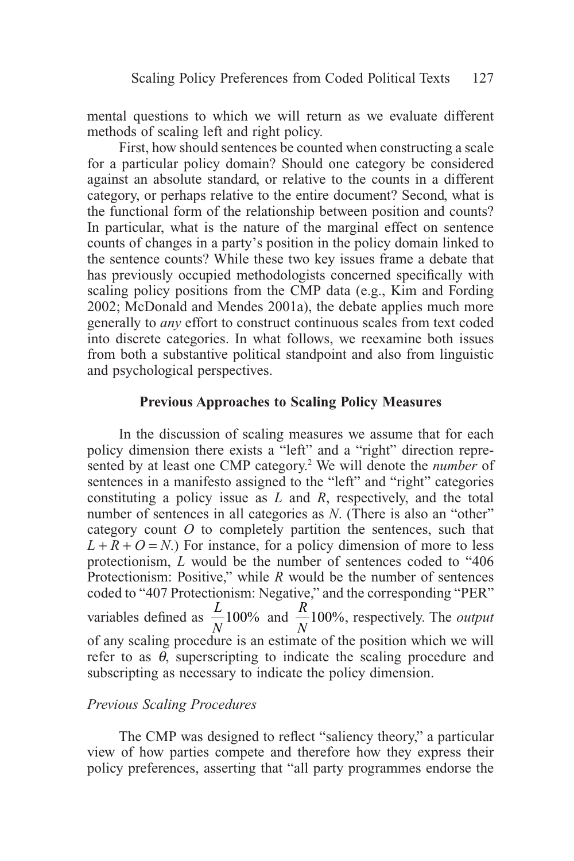mental questions to which we will return as we evaluate different methods of scaling left and right policy.

First, how should sentences be counted when constructing a scale for a particular policy domain? Should one category be considered against an absolute standard, or relative to the counts in a different category, or perhaps relative to the entire document? Second, what is the functional form of the relationship between position and counts? In particular, what is the nature of the marginal effect on sentence counts of changes in a party's position in the policy domain linked to the sentence counts? While these two key issues frame a debate that has previously occupied methodologists concerned specifically with scaling policy positions from the CMP data (e.g., Kim and Fording 2002; McDonald and Mendes 2001a), the debate applies much more generally to *any* effort to construct continuous scales from text coded into discrete categories. In what follows, we reexamine both issues from both a substantive political standpoint and also from linguistic and psychological perspectives.

### **Previous Approaches to Scaling Policy Measures**

In the discussion of scaling measures we assume that for each policy dimension there exists a "left" and a "right" direction represented by at least one CMP category.<sup>2</sup> We will denote the *number* of sentences in a manifesto assigned to the "left" and "right" categories constituting a policy issue as *L* and *R*, respectively, and the total number of sentences in all categories as *N*. (There is also an "other" category count *O* to completely partition the sentences, such that  $L + R + O = N$ .) For instance, for a policy dimension of more to less protectionism, *L* would be the number of sentences coded to "406 Protectionism: Positive," while *R* would be the number of sentences coded to "407 Protectionism: Negative," and the corresponding "PER" variables defined as *<sup>L</sup> N* 100% and  $\frac{R}{N}$ *N* 100%, respectively. The *output* of any scaling procedure is an estimate of the position which we will refer to as  $\theta$ , superscripting to indicate the scaling procedure and subscripting as necessary to indicate the policy dimension.

### *Previous Scaling Procedures*

The CMP was designed to reflect "saliency theory," a particular view of how parties compete and therefore how they express their policy preferences, asserting that "all party programmes endorse the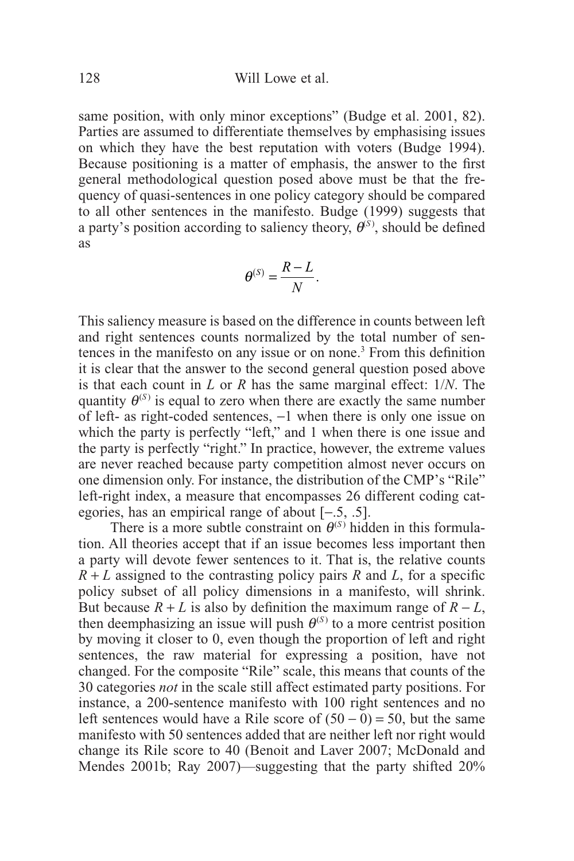same position, with only minor exceptions" (Budge et al. 2001, 82). Parties are assumed to differentiate themselves by emphasising issues on which they have the best reputation with voters (Budge 1994). Because positioning is a matter of emphasis, the answer to the first general methodological question posed above must be that the frequency of quasi-sentences in one policy category should be compared to all other sentences in the manifesto. Budge (1999) suggests that a party's position according to saliency theory,  $\theta^{(S)}$ , should be defined as

$$
\theta^{(S)} = \frac{R - L}{N}.
$$

This saliency measure is based on the difference in counts between left and right sentences counts normalized by the total number of sentences in the manifesto on any issue or on none.<sup>3</sup> From this definition it is clear that the answer to the second general question posed above is that each count in *L* or *R* has the same marginal effect: 1/*N*. The quantity  $\theta^{(S)}$  is equal to zero when there are exactly the same number of left- as right-coded sentences, -1 when there is only one issue on which the party is perfectly "left," and 1 when there is one issue and the party is perfectly "right." In practice, however, the extreme values are never reached because party competition almost never occurs on one dimension only. For instance, the distribution of the CMP's "Rile" left-right index, a measure that encompasses 26 different coding categories, has an empirical range of about  $[-.5, .5]$ .

There is a more subtle constraint on  $\theta^{(S)}$  hidden in this formulation. All theories accept that if an issue becomes less important then a party will devote fewer sentences to it. That is, the relative counts  $R + L$  assigned to the contrasting policy pairs *R* and *L*, for a specific policy subset of all policy dimensions in a manifesto, will shrink. But because  $R + L$  is also by definition the maximum range of  $R - L$ , then deemphasizing an issue will push  $\theta^{(S)}$  to a more centrist position by moving it closer to 0, even though the proportion of left and right sentences, the raw material for expressing a position, have not changed. For the composite "Rile" scale, this means that counts of the 30 categories *not* in the scale still affect estimated party positions. For instance, a 200-sentence manifesto with 100 right sentences and no left sentences would have a Rile score of  $(50 - 0) = 50$ , but the same manifesto with 50 sentences added that are neither left nor right would change its Rile score to 40 (Benoit and Laver 2007; McDonald and Mendes 2001b; Ray 2007)—suggesting that the party shifted 20%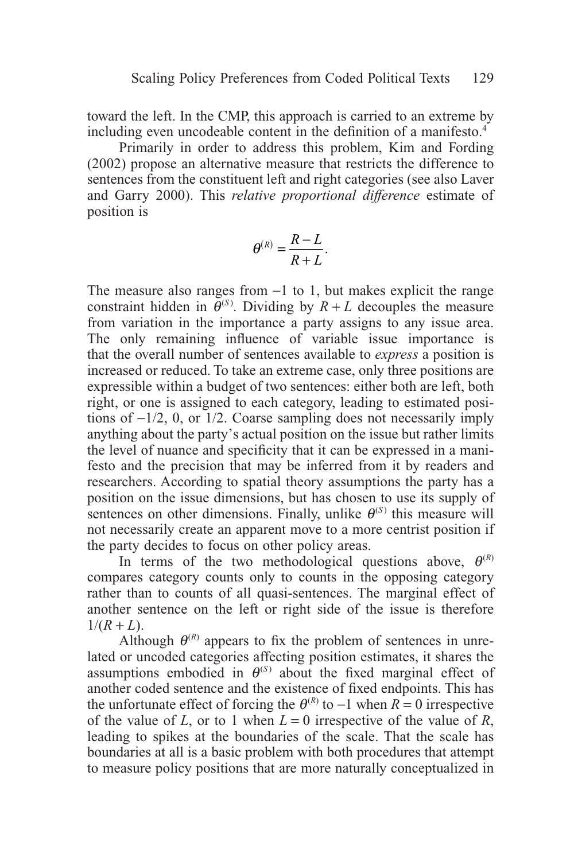toward the left. In the CMP, this approach is carried to an extreme by including even uncodeable content in the definition of a manifesto.<sup>4</sup>

Primarily in order to address this problem, Kim and Fording (2002) propose an alternative measure that restricts the difference to sentences from the constituent left and right categories (see also Laver and Garry 2000). This *relative proportional difference* estimate of position is

$$
\theta^{(R)} = \frac{R - L}{R + L}.
$$

The measure also ranges from  $-1$  to 1, but makes explicit the range constraint hidden in  $\theta^{(S)}$ . Dividing by  $R + L$  decouples the measure from variation in the importance a party assigns to any issue area. The only remaining influence of variable issue importance is that the overall number of sentences available to *express* a position is increased or reduced. To take an extreme case, only three positions are expressible within a budget of two sentences: either both are left, both right, or one is assigned to each category, leading to estimated positions of  $-\frac{1}{2}$ , 0, or  $\frac{1}{2}$ . Coarse sampling does not necessarily imply anything about the party's actual position on the issue but rather limits the level of nuance and specificity that it can be expressed in a manifesto and the precision that may be inferred from it by readers and researchers. According to spatial theory assumptions the party has a position on the issue dimensions, but has chosen to use its supply of sentences on other dimensions. Finally, unlike  $\theta^{(S)}$  this measure will not necessarily create an apparent move to a more centrist position if the party decides to focus on other policy areas.

In terms of the two methodological questions above,  $\theta^{(R)}$ compares category counts only to counts in the opposing category rather than to counts of all quasi-sentences. The marginal effect of another sentence on the left or right side of the issue is therefore  $1/(R + L)$ .

Although  $\theta^{(R)}$  appears to fix the problem of sentences in unrelated or uncoded categories affecting position estimates, it shares the assumptions embodied in  $\theta^{(S)}$  about the fixed marginal effect of another coded sentence and the existence of fixed endpoints. This has the unfortunate effect of forcing the  $\theta^{(R)}$  to -1 when  $\overline{R} = 0$  irrespective of the value of *L*, or to 1 when  $L = 0$  irrespective of the value of *R*, leading to spikes at the boundaries of the scale. That the scale has boundaries at all is a basic problem with both procedures that attempt to measure policy positions that are more naturally conceptualized in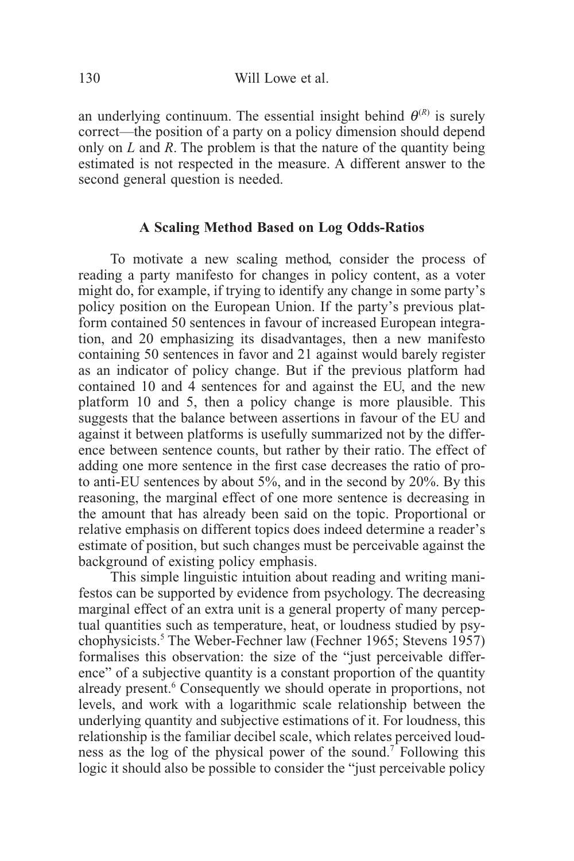an underlying continuum. The essential insight behind  $\theta^{(R)}$  is surely correct—the position of a party on a policy dimension should depend only on *L* and *R*. The problem is that the nature of the quantity being estimated is not respected in the measure. A different answer to the second general question is needed.

### **A Scaling Method Based on Log Odds-Ratios**

To motivate a new scaling method, consider the process of reading a party manifesto for changes in policy content, as a voter might do, for example, if trying to identify any change in some party's policy position on the European Union. If the party's previous platform contained 50 sentences in favour of increased European integration, and 20 emphasizing its disadvantages, then a new manifesto containing 50 sentences in favor and 21 against would barely register as an indicator of policy change. But if the previous platform had contained 10 and 4 sentences for and against the EU, and the new platform 10 and 5, then a policy change is more plausible. This suggests that the balance between assertions in favour of the EU and against it between platforms is usefully summarized not by the difference between sentence counts, but rather by their ratio. The effect of adding one more sentence in the first case decreases the ratio of proto anti-EU sentences by about 5%, and in the second by 20%. By this reasoning, the marginal effect of one more sentence is decreasing in the amount that has already been said on the topic. Proportional or relative emphasis on different topics does indeed determine a reader's estimate of position, but such changes must be perceivable against the background of existing policy emphasis.

This simple linguistic intuition about reading and writing manifestos can be supported by evidence from psychology. The decreasing marginal effect of an extra unit is a general property of many perceptual quantities such as temperature, heat, or loudness studied by psychophysicists.5 The Weber-Fechner law (Fechner 1965; Stevens 1957) formalises this observation: the size of the "just perceivable difference" of a subjective quantity is a constant proportion of the quantity already present.<sup>6</sup> Consequently we should operate in proportions, not levels, and work with a logarithmic scale relationship between the underlying quantity and subjective estimations of it. For loudness, this relationship is the familiar decibel scale, which relates perceived loudness as the log of the physical power of the sound.<sup>7</sup> Following this logic it should also be possible to consider the "just perceivable policy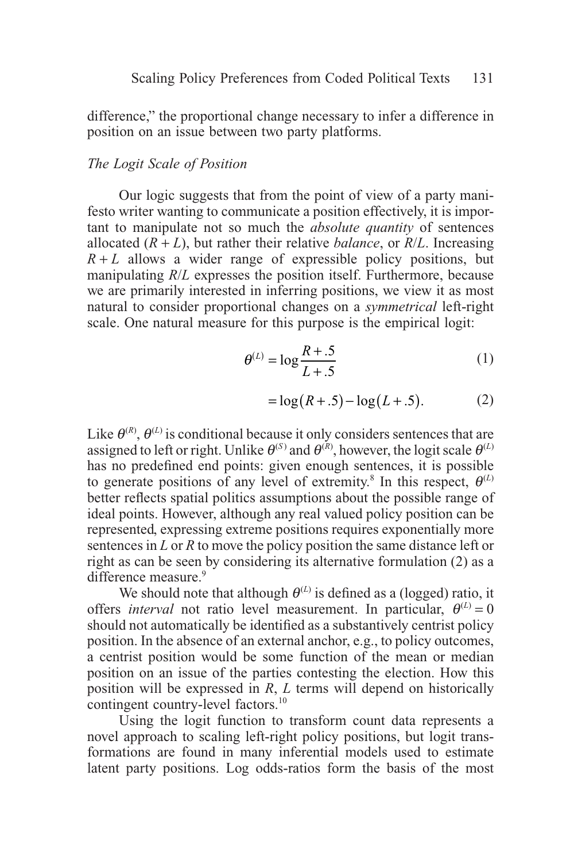difference," the proportional change necessary to infer a difference in position on an issue between two party platforms.

### *The Logit Scale of Position*

Our logic suggests that from the point of view of a party manifesto writer wanting to communicate a position effectively, it is important to manipulate not so much the *absolute quantity* of sentences allocated  $(R + L)$ , but rather their relative *balance*, or  $R/L$ . Increasing  $R + L$  allows a wider range of expressible policy positions, but manipulating *R*/*L* expresses the position itself. Furthermore, because we are primarily interested in inferring positions, we view it as most natural to consider proportional changes on a *symmetrical* left-right scale. One natural measure for this purpose is the empirical logit:

$$
\theta^{(L)} = \log \frac{R + .5}{L + .5}
$$
 (1)

$$
= \log(R+.5) - \log(L+.5). \tag{2}
$$

Like  $\theta^{(R)}$ ,  $\theta^{(L)}$  is conditional because it only considers sentences that are assigned to left or right. Unlike  $\theta^{(S)}$  and  $\theta^{(R)}$ , however, the logit scale  $\theta^{(L)}$ has no predefined end points: given enough sentences, it is possible to generate positions of any level of extremity.<sup>8</sup> In this respect,  $\theta^{(L)}$ better reflects spatial politics assumptions about the possible range of ideal points. However, although any real valued policy position can be represented, expressing extreme positions requires exponentially more sentences in *L* or *R* to move the policy position the same distance left or right as can be seen by considering its alternative formulation (2) as a difference measure.<sup>9</sup>

We should note that although  $\theta^{(L)}$  is defined as a (logged) ratio, it offers *interval* not ratio level measurement. In particular,  $\theta^{(L)} = 0$ should not automatically be identified as a substantively centrist policy position. In the absence of an external anchor, e.g., to policy outcomes, a centrist position would be some function of the mean or median position on an issue of the parties contesting the election. How this position will be expressed in *R*, *L* terms will depend on historically contingent country-level factors.<sup>10</sup>

Using the logit function to transform count data represents a novel approach to scaling left-right policy positions, but logit transformations are found in many inferential models used to estimate latent party positions. Log odds-ratios form the basis of the most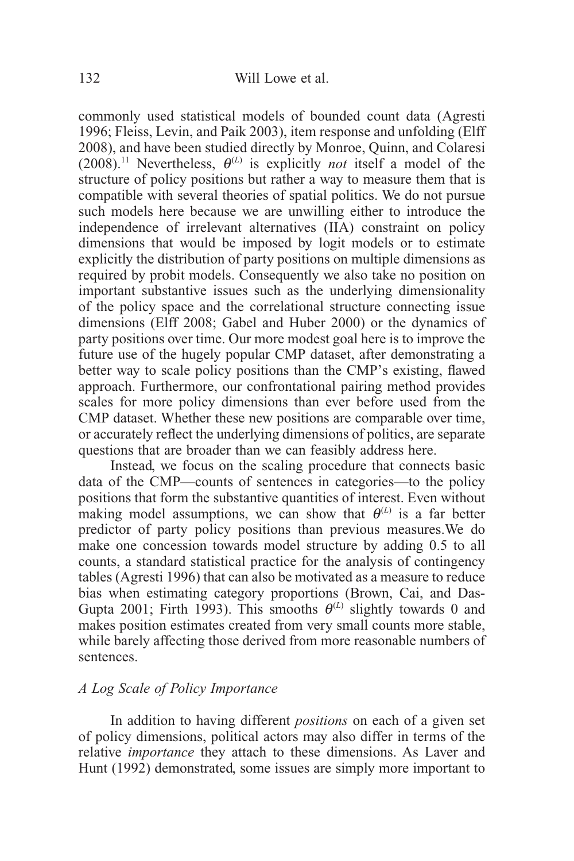commonly used statistical models of bounded count data (Agresti 1996; Fleiss, Levin, and Paik 2003), item response and unfolding (Elff 2008), and have been studied directly by Monroe, Quinn, and Colaresi  $(2008)$ .<sup>11</sup> Nevertheless,  $\theta^{(L)}$  is explicitly *not* itself a model of the structure of policy positions but rather a way to measure them that is compatible with several theories of spatial politics. We do not pursue such models here because we are unwilling either to introduce the independence of irrelevant alternatives (IIA) constraint on policy dimensions that would be imposed by logit models or to estimate explicitly the distribution of party positions on multiple dimensions as required by probit models. Consequently we also take no position on important substantive issues such as the underlying dimensionality of the policy space and the correlational structure connecting issue dimensions (Elff 2008; Gabel and Huber 2000) or the dynamics of party positions over time. Our more modest goal here is to improve the future use of the hugely popular CMP dataset, after demonstrating a better way to scale policy positions than the CMP's existing, flawed approach. Furthermore, our confrontational pairing method provides scales for more policy dimensions than ever before used from the CMP dataset. Whether these new positions are comparable over time, or accurately reflect the underlying dimensions of politics, are separate questions that are broader than we can feasibly address here.

Instead, we focus on the scaling procedure that connects basic data of the CMP—counts of sentences in categories—to the policy positions that form the substantive quantities of interest. Even without making model assumptions, we can show that  $\theta^{(L)}$  is a far better predictor of party policy positions than previous measures.We do make one concession towards model structure by adding 0.5 to all counts, a standard statistical practice for the analysis of contingency tables (Agresti 1996) that can also be motivated as a measure to reduce bias when estimating category proportions (Brown, Cai, and Das-Gupta 2001; Firth 1993). This smooths  $\theta^{(L)}$  slightly towards 0 and makes position estimates created from very small counts more stable, while barely affecting those derived from more reasonable numbers of sentences.

### *A Log Scale of Policy Importance*

In addition to having different *positions* on each of a given set of policy dimensions, political actors may also differ in terms of the relative *importance* they attach to these dimensions. As Laver and Hunt (1992) demonstrated, some issues are simply more important to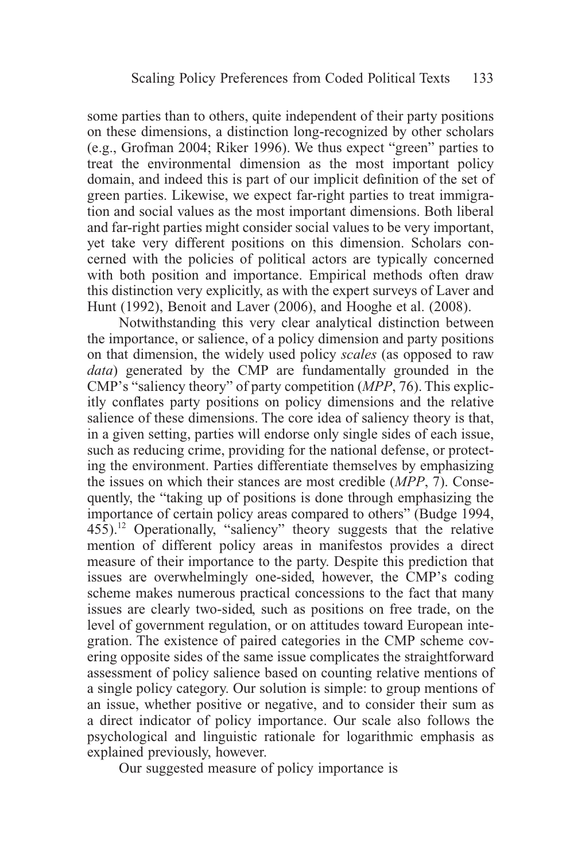some parties than to others, quite independent of their party positions on these dimensions, a distinction long-recognized by other scholars (e.g., Grofman 2004; Riker 1996). We thus expect "green" parties to treat the environmental dimension as the most important policy domain, and indeed this is part of our implicit definition of the set of green parties. Likewise, we expect far-right parties to treat immigration and social values as the most important dimensions. Both liberal and far-right parties might consider social values to be very important, yet take very different positions on this dimension. Scholars concerned with the policies of political actors are typically concerned with both position and importance. Empirical methods often draw this distinction very explicitly, as with the expert surveys of Laver and Hunt (1992), Benoit and Laver (2006), and Hooghe et al. (2008).

Notwithstanding this very clear analytical distinction between the importance, or salience, of a policy dimension and party positions on that dimension, the widely used policy *scales* (as opposed to raw *data*) generated by the CMP are fundamentally grounded in the CMP's "saliency theory" of party competition (*MPP*, 76). This explicitly conflates party positions on policy dimensions and the relative salience of these dimensions. The core idea of saliency theory is that, in a given setting, parties will endorse only single sides of each issue, such as reducing crime, providing for the national defense, or protecting the environment. Parties differentiate themselves by emphasizing the issues on which their stances are most credible (*MPP*, 7). Consequently, the "taking up of positions is done through emphasizing the importance of certain policy areas compared to others" (Budge 1994, 455).12 Operationally, "saliency" theory suggests that the relative mention of different policy areas in manifestos provides a direct measure of their importance to the party. Despite this prediction that issues are overwhelmingly one-sided, however, the CMP's coding scheme makes numerous practical concessions to the fact that many issues are clearly two-sided, such as positions on free trade, on the level of government regulation, or on attitudes toward European integration. The existence of paired categories in the CMP scheme covering opposite sides of the same issue complicates the straightforward assessment of policy salience based on counting relative mentions of a single policy category. Our solution is simple: to group mentions of an issue, whether positive or negative, and to consider their sum as a direct indicator of policy importance. Our scale also follows the psychological and linguistic rationale for logarithmic emphasis as explained previously, however.

Our suggested measure of policy importance is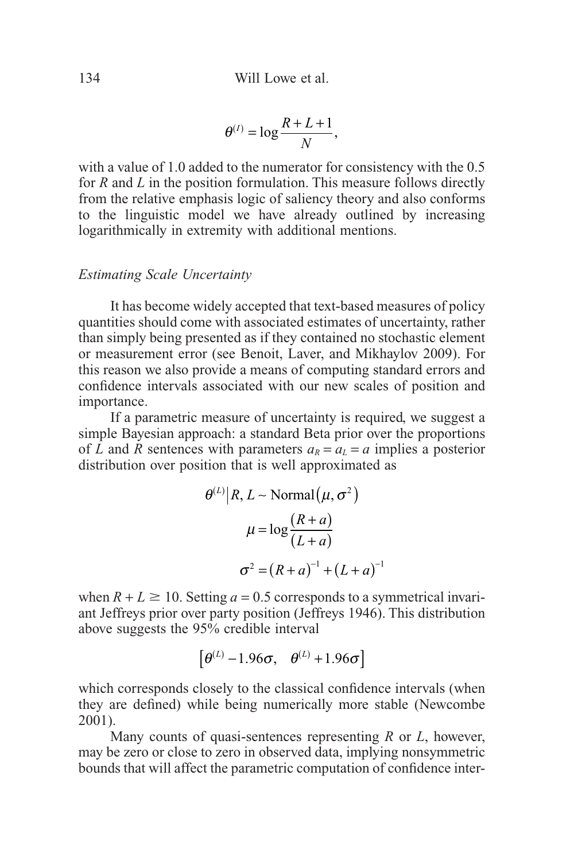$$
\theta^{(I)} = \log \frac{R + L + 1}{N},
$$

with a value of 1.0 added to the numerator for consistency with the 0.5 for *R* and *L* in the position formulation. This measure follows directly from the relative emphasis logic of saliency theory and also conforms to the linguistic model we have already outlined by increasing logarithmically in extremity with additional mentions.

### *Estimating Scale Uncertainty*

It has become widely accepted that text-based measures of policy quantities should come with associated estimates of uncertainty, rather than simply being presented as if they contained no stochastic element or measurement error (see Benoit, Laver, and Mikhaylov 2009). For this reason we also provide a means of computing standard errors and confidence intervals associated with our new scales of position and importance.

If a parametric measure of uncertainty is required, we suggest a simple Bayesian approach: a standard Beta prior over the proportions of *L* and *R* sentences with parameters  $a_R = a_L = a$  implies a posterior distribution over position that is well approximated as

$$
\theta^{(L)} | R, L \sim \text{Normal}(\mu, \sigma^2)
$$

$$
\mu = \log \frac{(R+a)}{(L+a)}
$$

$$
\sigma^2 = (R+a)^{-1} + (L+a)^{-1}
$$

when  $R + L \ge 10$ . Setting  $a = 0.5$  corresponds to a symmetrical invariant Jeffreys prior over party position (Jeffreys 1946). This distribution above suggests the 95% credible interval

$$
\left[\theta^{(L)} - 1.96\sigma, \quad \theta^{(L)} + 1.96\sigma\right]
$$

which corresponds closely to the classical confidence intervals (when they are defined) while being numerically more stable (Newcombe 2001).

Many counts of quasi-sentences representing *R* or *L*, however, may be zero or close to zero in observed data, implying nonsymmetric bounds that will affect the parametric computation of confidence inter-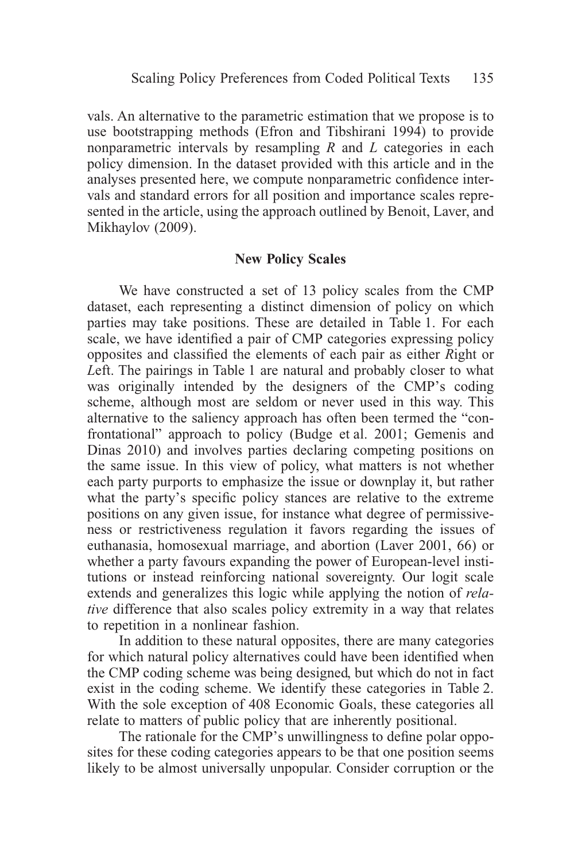vals. An alternative to the parametric estimation that we propose is to use bootstrapping methods (Efron and Tibshirani 1994) to provide nonparametric intervals by resampling *R* and *L* categories in each policy dimension. In the dataset provided with this article and in the analyses presented here, we compute nonparametric confidence intervals and standard errors for all position and importance scales represented in the article, using the approach outlined by Benoit, Laver, and Mikhaylov (2009).

### **New Policy Scales**

We have constructed a set of 13 policy scales from the CMP dataset, each representing a distinct dimension of policy on which parties may take positions. These are detailed in Table 1. For each scale, we have identified a pair of CMP categories expressing policy opposites and classified the elements of each pair as either *R*ight or *L*eft. The pairings in Table 1 are natural and probably closer to what was originally intended by the designers of the CMP's coding scheme, although most are seldom or never used in this way. This alternative to the saliency approach has often been termed the "confrontational" approach to policy (Budge et al. 2001; Gemenis and Dinas 2010) and involves parties declaring competing positions on the same issue. In this view of policy, what matters is not whether each party purports to emphasize the issue or downplay it, but rather what the party's specific policy stances are relative to the extreme positions on any given issue, for instance what degree of permissiveness or restrictiveness regulation it favors regarding the issues of euthanasia, homosexual marriage, and abortion (Laver 2001, 66) or whether a party favours expanding the power of European-level institutions or instead reinforcing national sovereignty. Our logit scale extends and generalizes this logic while applying the notion of *relative* difference that also scales policy extremity in a way that relates to repetition in a nonlinear fashion.

In addition to these natural opposites, there are many categories for which natural policy alternatives could have been identified when the CMP coding scheme was being designed, but which do not in fact exist in the coding scheme. We identify these categories in Table 2. With the sole exception of 408 Economic Goals, these categories all relate to matters of public policy that are inherently positional.

The rationale for the CMP's unwillingness to define polar opposites for these coding categories appears to be that one position seems likely to be almost universally unpopular. Consider corruption or the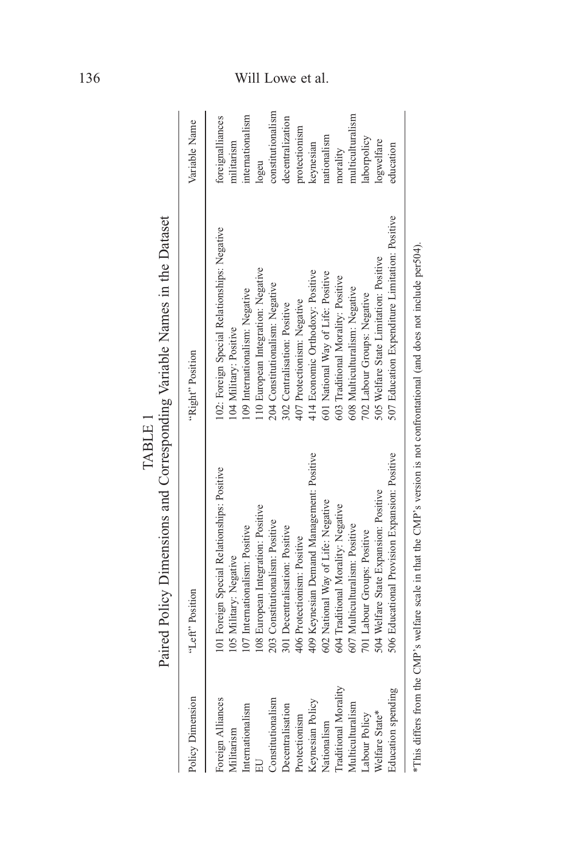|                                                                                                                                                                                                                                                             | Paired Policy Dimensions and Corresponding variable Names in the Dataset                                                                                                                                                                                                                                                                                                                                                                                                                                                              |                                                                                                                                                                                                                                                                                                                                                                                                                                                                                                                               |                                                                                                                                                                                                                             |
|-------------------------------------------------------------------------------------------------------------------------------------------------------------------------------------------------------------------------------------------------------------|---------------------------------------------------------------------------------------------------------------------------------------------------------------------------------------------------------------------------------------------------------------------------------------------------------------------------------------------------------------------------------------------------------------------------------------------------------------------------------------------------------------------------------------|-------------------------------------------------------------------------------------------------------------------------------------------------------------------------------------------------------------------------------------------------------------------------------------------------------------------------------------------------------------------------------------------------------------------------------------------------------------------------------------------------------------------------------|-----------------------------------------------------------------------------------------------------------------------------------------------------------------------------------------------------------------------------|
| Policy Dimension                                                                                                                                                                                                                                            | "Left" Position                                                                                                                                                                                                                                                                                                                                                                                                                                                                                                                       | "Right" Position                                                                                                                                                                                                                                                                                                                                                                                                                                                                                                              | Variable Name                                                                                                                                                                                                               |
| Traditional Morality<br>Education spending<br>Foreign Alliances<br>Constitutionalism<br>Keynesian Policy<br>Multiculturalism<br>Decentralisation<br>Internationalism<br>Welfare State*<br>Labour Policy<br>Protectionism<br>Nationalism<br>Militarism<br>ロロ | 409 Keynesian Demand Management: Positive<br>506 Educational Provision Expansion: Positive<br>101 Foreign Special Relationships: Positive<br>504 Welfare State Expansion: Positive<br>602 National Way of Life: Negative<br>108 European Integration: Positive<br>604 Traditional Morality: Negative<br>203 Constitutionalism: Positive<br>607 Multiculturalism: Positive<br>107 Internationalism: Positive<br>301 Decentralisation: Positive<br>701 Labour Groups: Positive<br>406 Protectionism: Positive<br>105 Military: Negative | 507 Education Expenditure Limitation: Positive<br>102: Foreign Special Relationships: Negative<br>505 Welfare State Limitation: Positive<br>110 European Integration: Negative<br>414 Economic Orthodoxy: Positive<br>601 National Way of Life: Positive<br>603 Traditional Morality: Positive<br>204 Constitutionalism: Negative<br>608 Multiculturalism: Negative<br>109 Internationalism: Negative<br>702 Labour Groups: Negative<br>407 Protectionism: Negative<br>302 Centralisation: Positive<br>104 Military: Positive | constitutionalism<br>multiculturalism<br>internationalism<br>foreignalliances<br>decentralization<br>protectionism<br>nationalism<br>laborpolicy<br>logwelfare<br>militarism<br>keynesian<br>education<br>morality<br>logeu |
|                                                                                                                                                                                                                                                             |                                                                                                                                                                                                                                                                                                                                                                                                                                                                                                                                       |                                                                                                                                                                                                                                                                                                                                                                                                                                                                                                                               |                                                                                                                                                                                                                             |

 $\ddot{\phantom{1}}$ Paired Policy Dimensions and Corresponding Variable Names in the Dataset Ń  $\tilde{C}$  $\vec{+}$  $4ab1a$  NL  $V_{\alpha}$ TABLE 1 TABLE 1  $\frac{c}{7}$  $\ddot{\phantom{0}}$ Ë d Doli.  $\overline{D}_{\alpha}$ 

\*This differs from the CMP's welfare scale in that the CMP's version is not confrontational (and does not include per504). \*This differs from the CMP's welfare scale in that the CMP's version is not confrontational (and does not include per504).

# 136 Will Lowe et al.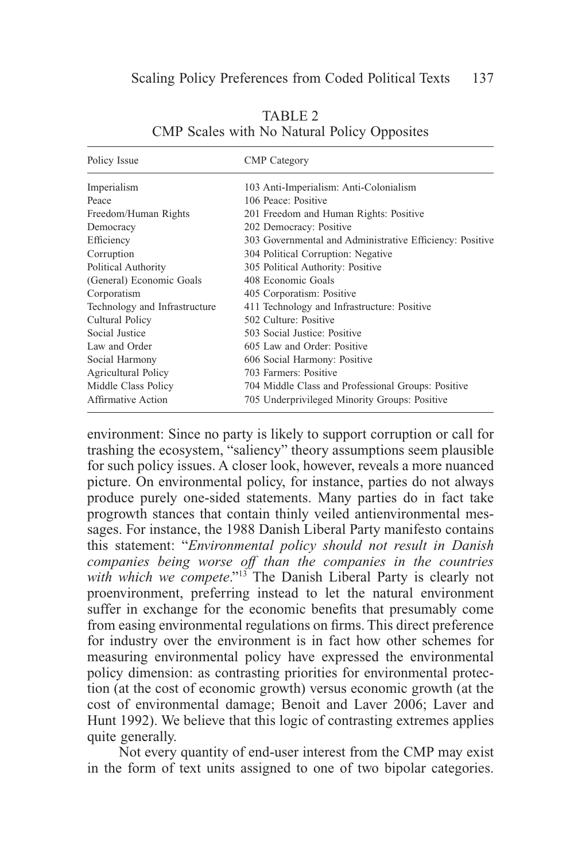| Policy Issue                  | <b>CMP</b> Category                                      |
|-------------------------------|----------------------------------------------------------|
| Imperialism                   | 103 Anti-Imperialism: Anti-Colonialism                   |
| Peace                         | 106 Peace: Positive                                      |
| Freedom/Human Rights          | 201 Freedom and Human Rights: Positive                   |
| Democracy                     | 202 Democracy: Positive                                  |
| Efficiency                    | 303 Governmental and Administrative Efficiency: Positive |
| Corruption                    | 304 Political Corruption: Negative                       |
| Political Authority           | 305 Political Authority: Positive                        |
| (General) Economic Goals      | 408 Economic Goals                                       |
| Corporatism                   | 405 Corporatism: Positive                                |
| Technology and Infrastructure | 411 Technology and Infrastructure: Positive              |
| Cultural Policy               | 502 Culture: Positive                                    |
| Social Justice                | 503 Social Justice: Positive                             |
| Law and Order                 | 605 Law and Order: Positive                              |
| Social Harmony                | 606 Social Harmony: Positive                             |
| <b>Agricultural Policy</b>    | 703 Farmers: Positive                                    |
| Middle Class Policy           | 704 Middle Class and Professional Groups: Positive       |
| Affirmative Action            | 705 Underprivileged Minority Groups: Positive            |

# TABLE 2 CMP Scales with No Natural Policy Opposites

environment: Since no party is likely to support corruption or call for trashing the ecosystem, "saliency" theory assumptions seem plausible for such policy issues. A closer look, however, reveals a more nuanced picture. On environmental policy, for instance, parties do not always produce purely one-sided statements. Many parties do in fact take progrowth stances that contain thinly veiled antienvironmental messages. For instance, the 1988 Danish Liberal Party manifesto contains this statement: "*Environmental policy should not result in Danish companies being worse off than the companies in the countries* with which we compete."<sup>13</sup> The Danish Liberal Party is clearly not proenvironment, preferring instead to let the natural environment suffer in exchange for the economic benefits that presumably come from easing environmental regulations on firms. This direct preference for industry over the environment is in fact how other schemes for measuring environmental policy have expressed the environmental policy dimension: as contrasting priorities for environmental protection (at the cost of economic growth) versus economic growth (at the cost of environmental damage; Benoit and Laver 2006; Laver and Hunt 1992). We believe that this logic of contrasting extremes applies quite generally.

Not every quantity of end-user interest from the CMP may exist in the form of text units assigned to one of two bipolar categories.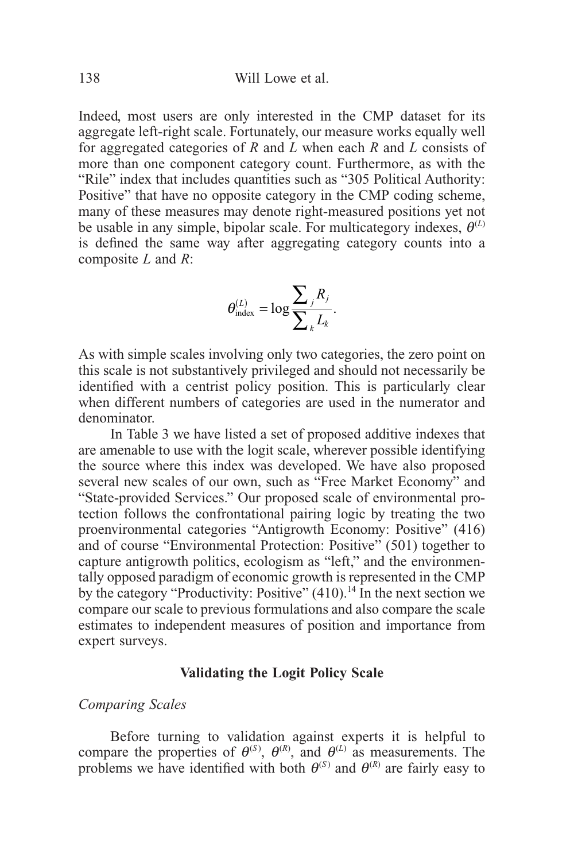Indeed, most users are only interested in the CMP dataset for its aggregate left-right scale. Fortunately, our measure works equally well for aggregated categories of *R* and *L* when each *R* and *L* consists of more than one component category count. Furthermore, as with the "Rile" index that includes quantities such as "305 Political Authority: Positive" that have no opposite category in the CMP coding scheme, many of these measures may denote right-measured positions yet not be usable in any simple, bipolar scale. For multicategory indexes,  $\theta^{(L)}$ is defined the same way after aggregating category counts into a composite *L* and *R*:

$$
\theta_{\text{index}}^{(L)} = \log \frac{\sum_{j} R_j}{\sum_{k} L_k}.
$$

As with simple scales involving only two categories, the zero point on this scale is not substantively privileged and should not necessarily be identified with a centrist policy position. This is particularly clear when different numbers of categories are used in the numerator and denominator.

In Table 3 we have listed a set of proposed additive indexes that are amenable to use with the logit scale, wherever possible identifying the source where this index was developed. We have also proposed several new scales of our own, such as "Free Market Economy" and "State-provided Services." Our proposed scale of environmental protection follows the confrontational pairing logic by treating the two proenvironmental categories "Antigrowth Economy: Positive" (416) and of course "Environmental Protection: Positive" (501) together to capture antigrowth politics, ecologism as "left," and the environmentally opposed paradigm of economic growth is represented in the CMP by the category "Productivity: Positive"  $(410)$ .<sup>14</sup> In the next section we compare our scale to previous formulations and also compare the scale estimates to independent measures of position and importance from expert surveys.

### **Validating the Logit Policy Scale**

### *Comparing Scales*

Before turning to validation against experts it is helpful to compare the properties of  $\theta^{(S)}$ ,  $\theta^{(R)}$ , and  $\theta^{(L)}$  as measurements. The problems we have identified with both  $\theta^{(S)}$  and  $\theta^{(R)}$  are fairly easy to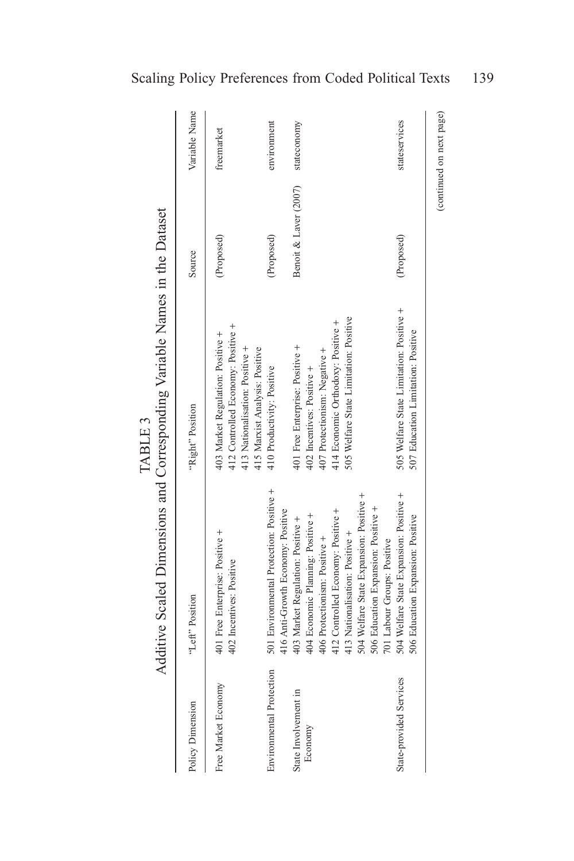| $\overline{\phantom{a}}$ in the Dote<br> <br>ג<br>֧֛֛֪֚֚֚֚֚֚֚֚֚֚֚֚֚֚֚֚֚֬֡֓֡֓֡֡֬֝֓֡֬֝֬֝֓֡֬֝֓֓֡֬֝֓֓֡֬֝֓֓֡֓֬֝֓֓֡֬֝֓֓֝֓֓֝֓֝֬֝֓֬֝֓֬֝֓֬֝֓֬<br>$\sim$ $\sim$ $N \sim$<br>こうりょう<br>TABLE <sub>3</sub><br>$\prod$<br>$\frac{1}{2}$ |  |
|---------------------------------------------------------------------------------------------------------------------------------------------------------------------------------------------------------------------------|--|
|                                                                                                                                                                                                                           |  |
|                                                                                                                                                                                                                           |  |
|                                                                                                                                                                                                                           |  |
|                                                                                                                                                                                                                           |  |
|                                                                                                                                                                                                                           |  |
|                                                                                                                                                                                                                           |  |
|                                                                                                                                                                                                                           |  |
|                                                                                                                                                                                                                           |  |
|                                                                                                                                                                                                                           |  |
|                                                                                                                                                                                                                           |  |

|                                 |                                                                                                                                                                                                                                                                                                   | Additive Scaled Dimensions and Corresponding Variable Names in the Dataset                                                                                                     |                       |                          |
|---------------------------------|---------------------------------------------------------------------------------------------------------------------------------------------------------------------------------------------------------------------------------------------------------------------------------------------------|--------------------------------------------------------------------------------------------------------------------------------------------------------------------------------|-----------------------|--------------------------|
| Policy Dimension                | "Left" Position                                                                                                                                                                                                                                                                                   | "Right" Position                                                                                                                                                               | Source                | Variable Name            |
| Free Market Economy             | 401 Free Enterprise: Positive +<br>402 Incentives: Positive                                                                                                                                                                                                                                       | 412 Controlled Economy: Positive +<br>403 Market Regulation: Positive +<br>413 Nationalisation: Positive +<br>415 Marxist Analysis: Positive                                   | (Proposed)            | freemarket               |
| Environmental Protection        | 501 Environmental Protection: Positive +<br>416 Anti-Growth Economy: Positive                                                                                                                                                                                                                     | 410 Productivity: Positive                                                                                                                                                     | (Proposed)            | environment              |
| State Involvement in<br>Economy | 504 Welfare State Expansion: Positive +<br>506 Education Expansion: Positive +<br>412 Controlled Economy: Positive +<br>404 Economic Planning: Positive +<br>403 Market Regulation: Positive +<br>413 Nationalisation: Positive +<br>406 Protectionism: Positive +<br>701 Labour Groups: Positive | 505 Welfare State Limitation: Positive<br>414 Economic Orthodoxy: Positive +<br>401 Free Enterprise: Positive +<br>407 Protectionism: Negative +<br>402 Incentives: Positive + | Benoit & Laver (2007) | stateconomy              |
| State-provided Services         | 504 Welfare State Expansion: Positive +<br>506 Education Expansion: Positive                                                                                                                                                                                                                      | 505 Welfare State Limitation: Positive +<br>507 Education Limitation: Positive                                                                                                 | (Proposed)            | stateservices            |
|                                 |                                                                                                                                                                                                                                                                                                   |                                                                                                                                                                                |                       | (continued on next page) |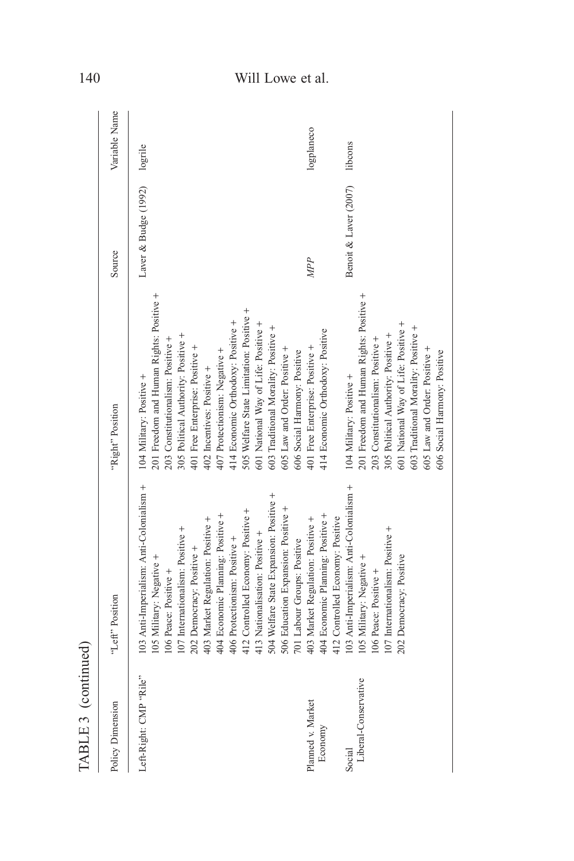| TABLE 3 (continued)            |                                                                                                                                                                                                                                                                                                                                                                                                                                                                     |                                                                                                                                                                                                                                                                                                                                                                                                                                                                                       |                       |               |
|--------------------------------|---------------------------------------------------------------------------------------------------------------------------------------------------------------------------------------------------------------------------------------------------------------------------------------------------------------------------------------------------------------------------------------------------------------------------------------------------------------------|---------------------------------------------------------------------------------------------------------------------------------------------------------------------------------------------------------------------------------------------------------------------------------------------------------------------------------------------------------------------------------------------------------------------------------------------------------------------------------------|-----------------------|---------------|
| Policy Dimension               | "Left" Position                                                                                                                                                                                                                                                                                                                                                                                                                                                     | "Right" Position                                                                                                                                                                                                                                                                                                                                                                                                                                                                      | Source                | Variable Name |
| Left-Right: CMP "Rile"         | 103 Anti-Imperialism: Anti-Colonialism +<br>504 Welfare State Expansion: Positive +<br>506 Education Expansion: Positive +<br>412 Controlled Economy: Positive +<br>404 Economic Planning: Positive +<br>403 Market Regulation: Positive +<br>107 Internationalism: Positive +<br>413 Nationalisation: Positive +<br>406 Protectionism: Positive +<br>701 Labour Groups: Positive<br>202 Democracy: Positive +<br>105 Military: Negative +<br>106 Peace: Positive + | 201 Freedom and Human Rights: Positive +<br>505 Welfare State Limitation: Positive +<br>414 Economic Orthodoxy: Positive +<br>601 National Way of Life: Positive +<br>603 Traditional Morality: Positive +<br>305 Political Authority: Positive +<br>203 Constitutionalism: Positive +<br>401 Free Enterprise: Positive +<br>605 Law and Order: Positive +<br>407 Protectionism: Negative +<br>606 Social Harmony: Positive<br>402 Incentives: Positive +<br>104 Military: Positive + | Laver & Budge (1992)  | logrile       |
| Planned v. Market<br>Economy   | 404 Economic Planning: Positive +<br>403 Market Regulation: Positive +<br>412 Controlled Economy: Positive                                                                                                                                                                                                                                                                                                                                                          | 414 Economic Orthodoxy: Positive<br>401 Free Enterprise: Positive +                                                                                                                                                                                                                                                                                                                                                                                                                   | MPP                   | logplaneco    |
| Liberal-Conservative<br>Social | 103 Anti-Imperialism: Anti-Colonialism +<br>107 Internationalism: Positive +<br>105 Military: Negative +<br>202 Democracy: Positive<br>106 Peace: Positive +                                                                                                                                                                                                                                                                                                        | 201 Freedom and Human Rights: Positive +<br>601 National Way of Life: Positive +<br>603 Traditional Morality: Positive +<br>305 Political Authority: Positive +<br>203 Constitutionalism: Positive +<br>605 Law and Order: Positive +<br>606 Social Harmony: Positive<br>104 Military: Positive +                                                                                                                                                                                     | Benoit & Laver (2007) | libcons       |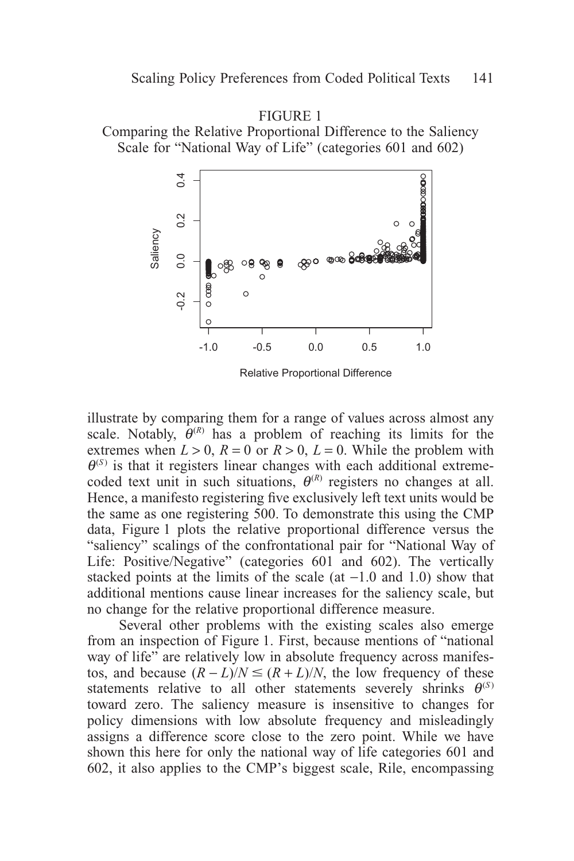



Relative Proportional Difference

illustrate by comparing them for a range of values across almost any scale. Notably,  $\hat{\theta}^{(R)}$  has a problem of reaching its limits for the extremes when  $L > 0$ ,  $R = 0$  or  $R > 0$ ,  $L = 0$ . While the problem with  $\theta$ <sup>(S)</sup> is that it registers linear changes with each additional extremecoded text unit in such situations,  $\theta^{(R)}$  registers no changes at all. Hence, a manifesto registering five exclusively left text units would be the same as one registering 500. To demonstrate this using the CMP data, Figure 1 plots the relative proportional difference versus the "saliency" scalings of the confrontational pair for "National Way of Life: Positive/Negative" (categories 601 and 602). The vertically stacked points at the limits of the scale (at  $-1.0$  and 1.0) show that additional mentions cause linear increases for the saliency scale, but no change for the relative proportional difference measure.

Several other problems with the existing scales also emerge from an inspection of Figure 1. First, because mentions of "national way of life" are relatively low in absolute frequency across manifestos, and because  $(R - L)/N \le (R + L)/N$ , the low frequency of these statements relative to all other statements severely shrinks  $\theta^{(S)}$ toward zero. The saliency measure is insensitive to changes for policy dimensions with low absolute frequency and misleadingly assigns a difference score close to the zero point. While we have shown this here for only the national way of life categories 601 and 602, it also applies to the CMP's biggest scale, Rile, encompassing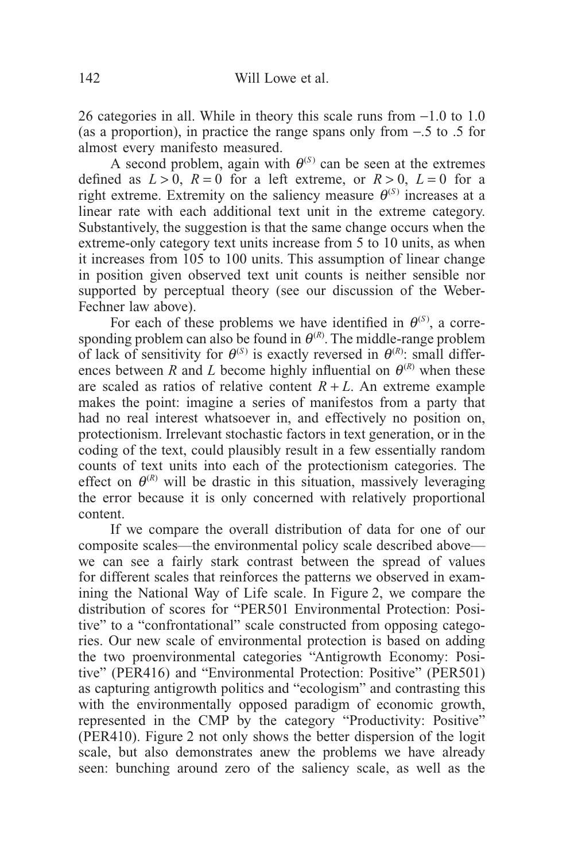26 categories in all. While in theory this scale runs from -1.0 to 1.0 (as a proportion), in practice the range spans only from  $-.5$  to  $.5$  for almost every manifesto measured.

A second problem, again with  $\theta^{(S)}$  can be seen at the extremes defined as  $L > 0$ ,  $R = 0$  for a left extreme, or  $R > 0$ ,  $L = 0$  for a right extreme. Extremity on the saliency measure  $\theta^{(S)}$  increases at a linear rate with each additional text unit in the extreme category. Substantively, the suggestion is that the same change occurs when the extreme-only category text units increase from 5 to 10 units, as when it increases from 105 to 100 units. This assumption of linear change in position given observed text unit counts is neither sensible nor supported by perceptual theory (see our discussion of the Weber-Fechner law above).

For each of these problems we have identified in  $\theta^{(S)}$ , a corresponding problem can also be found in  $\theta^{(R)}$ . The middle-range problem of lack of sensitivity for  $\theta^{(S)}$  is exactly reversed in  $\theta^{(R)}$ : small differences between *R* and *L* become highly influential on  $\theta^{(R)}$  when these are scaled as ratios of relative content  $R + L$ . An extreme example makes the point: imagine a series of manifestos from a party that had no real interest whatsoever in, and effectively no position on, protectionism. Irrelevant stochastic factors in text generation, or in the coding of the text, could plausibly result in a few essentially random counts of text units into each of the protectionism categories. The effect on  $\theta^{(R)}$  will be drastic in this situation, massively leveraging the error because it is only concerned with relatively proportional content.

If we compare the overall distribution of data for one of our composite scales—the environmental policy scale described above we can see a fairly stark contrast between the spread of values for different scales that reinforces the patterns we observed in examining the National Way of Life scale. In Figure 2, we compare the distribution of scores for "PER501 Environmental Protection: Positive" to a "confrontational" scale constructed from opposing categories. Our new scale of environmental protection is based on adding the two proenvironmental categories "Antigrowth Economy: Positive" (PER416) and "Environmental Protection: Positive" (PER501) as capturing antigrowth politics and "ecologism" and contrasting this with the environmentally opposed paradigm of economic growth, represented in the CMP by the category "Productivity: Positive" (PER410). Figure 2 not only shows the better dispersion of the logit scale, but also demonstrates anew the problems we have already seen: bunching around zero of the saliency scale, as well as the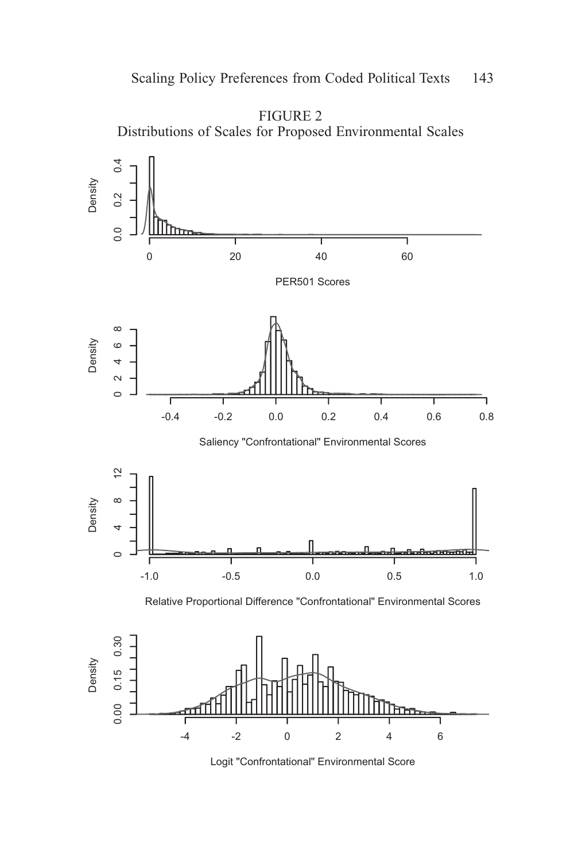

FIGURE 2 Distributions of Scales for Proposed Environmental Scales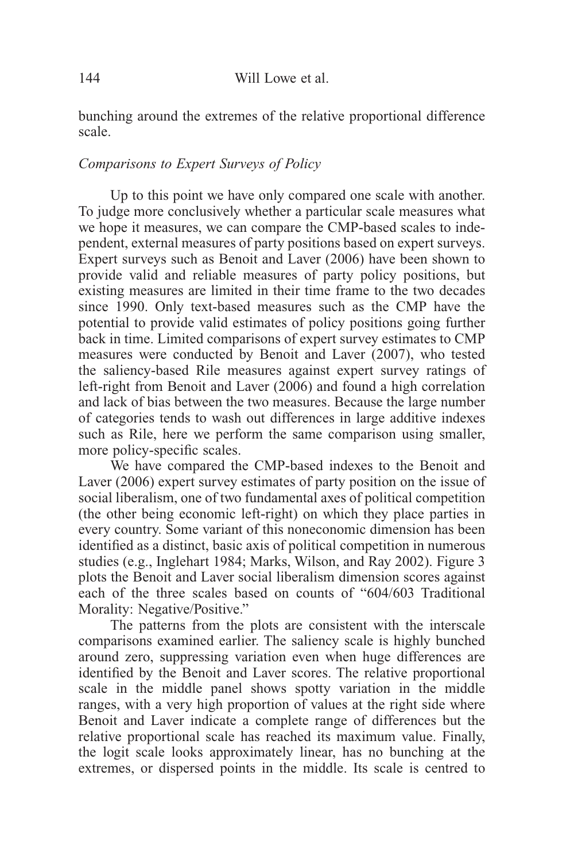bunching around the extremes of the relative proportional difference scale.

### *Comparisons to Expert Surveys of Policy*

Up to this point we have only compared one scale with another. To judge more conclusively whether a particular scale measures what we hope it measures, we can compare the CMP-based scales to independent, external measures of party positions based on expert surveys. Expert surveys such as Benoit and Laver (2006) have been shown to provide valid and reliable measures of party policy positions, but existing measures are limited in their time frame to the two decades since 1990. Only text-based measures such as the CMP have the potential to provide valid estimates of policy positions going further back in time. Limited comparisons of expert survey estimates to CMP measures were conducted by Benoit and Laver (2007), who tested the saliency-based Rile measures against expert survey ratings of left-right from Benoit and Laver (2006) and found a high correlation and lack of bias between the two measures. Because the large number of categories tends to wash out differences in large additive indexes such as Rile, here we perform the same comparison using smaller, more policy-specific scales.

We have compared the CMP-based indexes to the Benoit and Laver (2006) expert survey estimates of party position on the issue of social liberalism, one of two fundamental axes of political competition (the other being economic left-right) on which they place parties in every country. Some variant of this noneconomic dimension has been identified as a distinct, basic axis of political competition in numerous studies (e.g., Inglehart 1984; Marks, Wilson, and Ray 2002). Figure 3 plots the Benoit and Laver social liberalism dimension scores against each of the three scales based on counts of "604/603 Traditional Morality: Negative/Positive."

The patterns from the plots are consistent with the interscale comparisons examined earlier. The saliency scale is highly bunched around zero, suppressing variation even when huge differences are identified by the Benoit and Laver scores. The relative proportional scale in the middle panel shows spotty variation in the middle ranges, with a very high proportion of values at the right side where Benoit and Laver indicate a complete range of differences but the relative proportional scale has reached its maximum value. Finally, the logit scale looks approximately linear, has no bunching at the extremes, or dispersed points in the middle. Its scale is centred to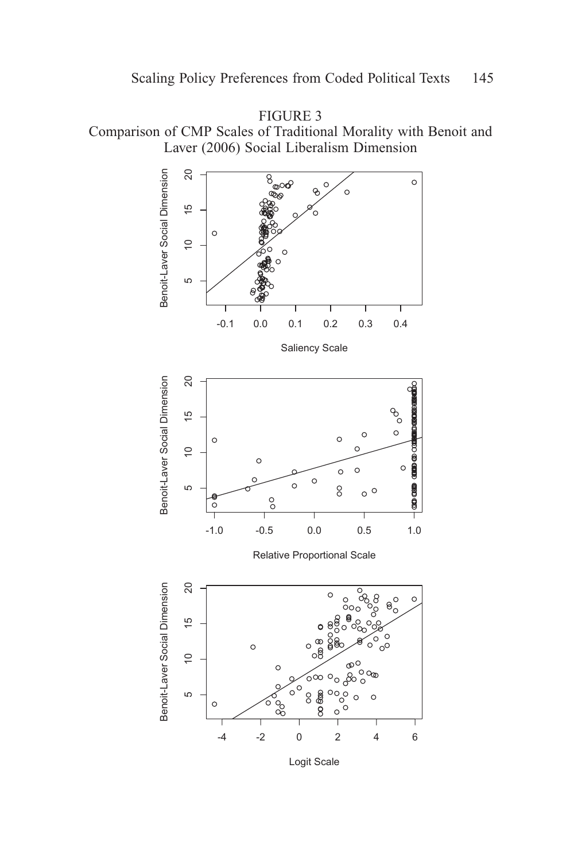

Comparison of CMP Scales of Traditional Morality with Benoit and

Logit Scale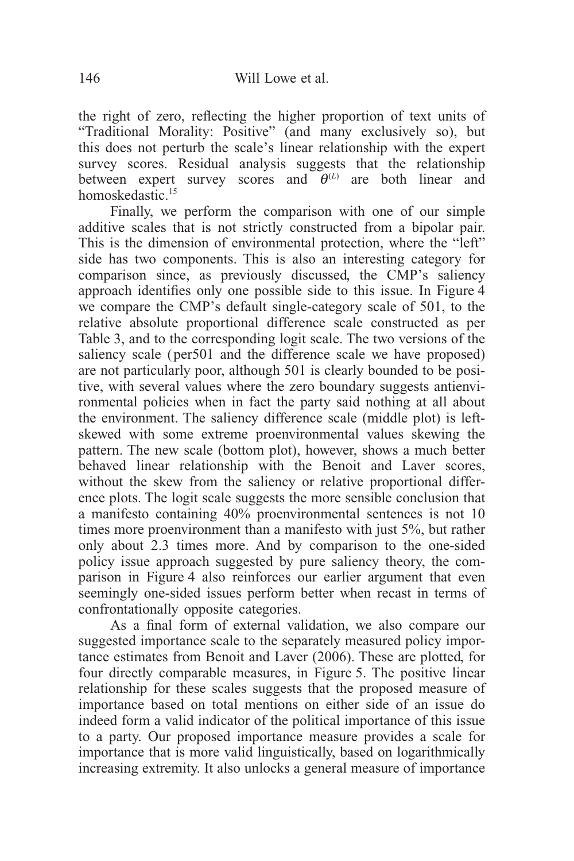the right of zero, reflecting the higher proportion of text units of "Traditional Morality: Positive" (and many exclusively so), but this does not perturb the scale's linear relationship with the expert survey scores. Residual analysis suggests that the relationship between expert survey scores and  $\theta^{(L)}$  are both linear and homoskedastic.<sup>15</sup>

Finally, we perform the comparison with one of our simple additive scales that is not strictly constructed from a bipolar pair. This is the dimension of environmental protection, where the "left" side has two components. This is also an interesting category for comparison since, as previously discussed, the CMP's saliency approach identifies only one possible side to this issue. In Figure 4 we compare the CMP's default single-category scale of 501, to the relative absolute proportional difference scale constructed as per Table 3, and to the corresponding logit scale. The two versions of the saliency scale (per501 and the difference scale we have proposed) are not particularly poor, although 501 is clearly bounded to be positive, with several values where the zero boundary suggests antienvironmental policies when in fact the party said nothing at all about the environment. The saliency difference scale (middle plot) is leftskewed with some extreme proenvironmental values skewing the pattern. The new scale (bottom plot), however, shows a much better behaved linear relationship with the Benoit and Laver scores, without the skew from the saliency or relative proportional difference plots. The logit scale suggests the more sensible conclusion that a manifesto containing 40% proenvironmental sentences is not 10 times more proenvironment than a manifesto with just 5%, but rather only about 2.3 times more. And by comparison to the one-sided policy issue approach suggested by pure saliency theory, the comparison in Figure 4 also reinforces our earlier argument that even seemingly one-sided issues perform better when recast in terms of confrontationally opposite categories.

As a final form of external validation, we also compare our suggested importance scale to the separately measured policy importance estimates from Benoit and Laver (2006). These are plotted, for four directly comparable measures, in Figure 5. The positive linear relationship for these scales suggests that the proposed measure of importance based on total mentions on either side of an issue do indeed form a valid indicator of the political importance of this issue to a party. Our proposed importance measure provides a scale for importance that is more valid linguistically, based on logarithmically increasing extremity. It also unlocks a general measure of importance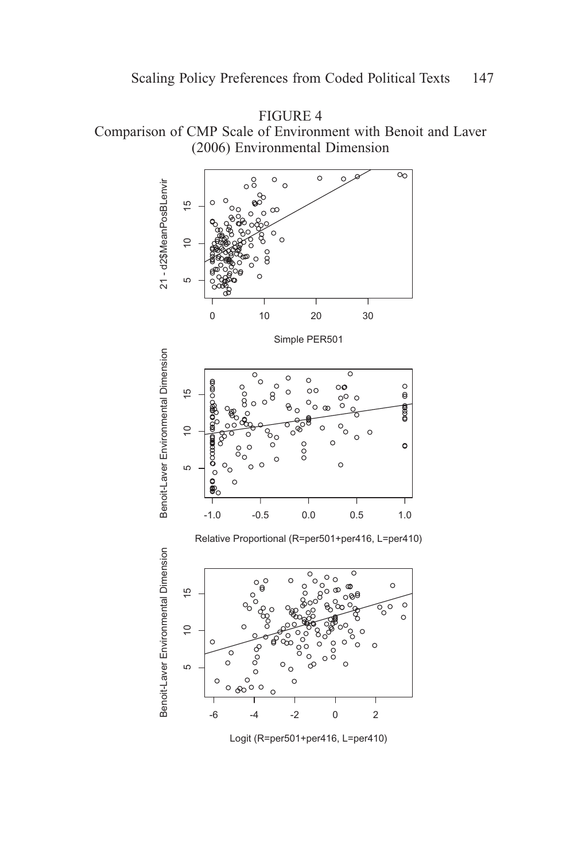



Logit (R=per501+per416, L=per410)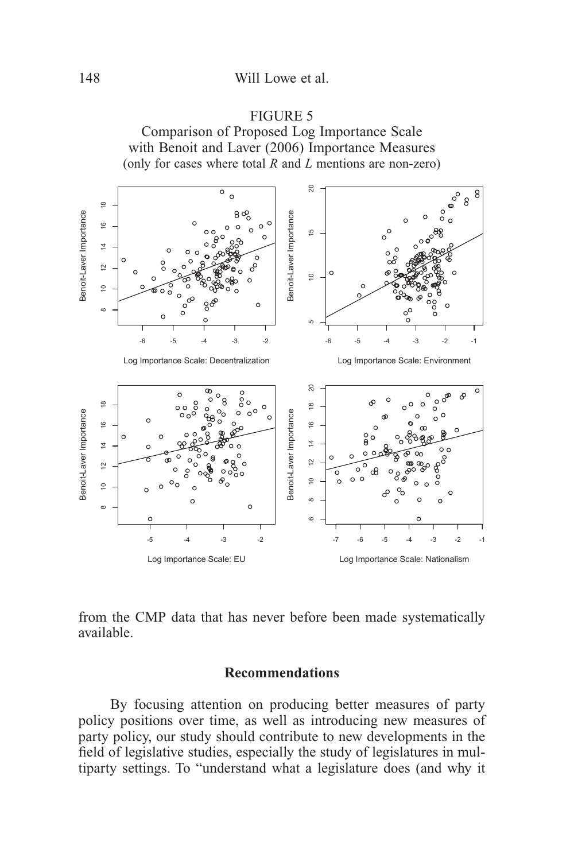



from the CMP data that has never before been made systematically available.

### **Recommendations**

By focusing attention on producing better measures of party policy positions over time, as well as introducing new measures of party policy, our study should contribute to new developments in the field of legislative studies, especially the study of legislatures in multiparty settings. To "understand what a legislature does (and why it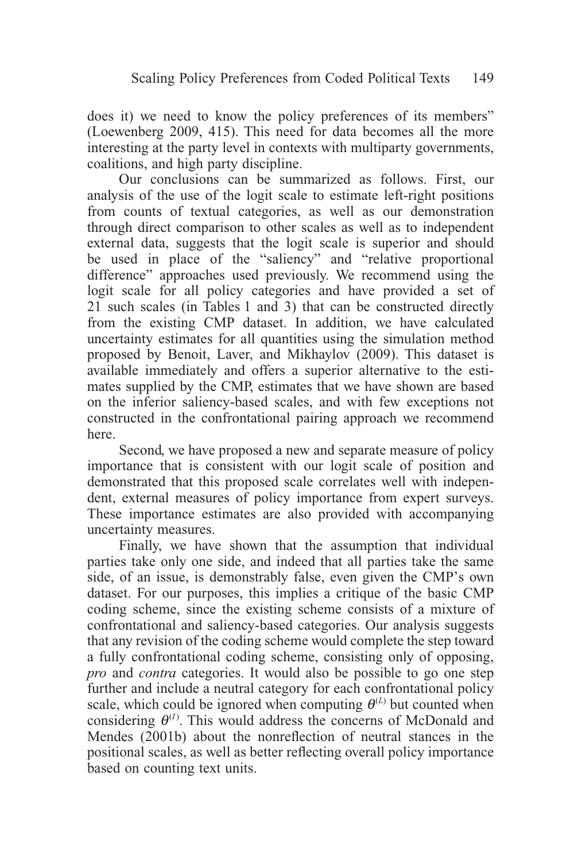does it) we need to know the policy preferences of its members" (Loewenberg 2009, 415). This need for data becomes all the more interesting at the party level in contexts with multiparty governments, coalitions, and high party discipline.

Our conclusions can be summarized as follows. First, our analysis of the use of the logit scale to estimate left-right positions from counts of textual categories, as well as our demonstration through direct comparison to other scales as well as to independent external data, suggests that the logit scale is superior and should be used in place of the "saliency" and "relative proportional difference" approaches used previously. We recommend using the logit scale for all policy categories and have provided a set of 21 such scales (in Tables 1 and 3) that can be constructed directly from the existing CMP dataset. In addition, we have calculated uncertainty estimates for all quantities using the simulation method proposed by Benoit, Laver, and Mikhaylov (2009). This dataset is available immediately and offers a superior alternative to the estimates supplied by the CMP, estimates that we have shown are based on the inferior saliency-based scales, and with few exceptions not constructed in the confrontational pairing approach we recommend here.

Second, we have proposed a new and separate measure of policy importance that is consistent with our logit scale of position and demonstrated that this proposed scale correlates well with independent, external measures of policy importance from expert surveys. These importance estimates are also provided with accompanying uncertainty measures.

Finally, we have shown that the assumption that individual parties take only one side, and indeed that all parties take the same side, of an issue, is demonstrably false, even given the CMP's own dataset. For our purposes, this implies a critique of the basic CMP coding scheme, since the existing scheme consists of a mixture of confrontational and saliency-based categories. Our analysis suggests that any revision of the coding scheme would complete the step toward a fully confrontational coding scheme, consisting only of opposing, *pro* and *contra* categories. It would also be possible to go one step further and include a neutral category for each confrontational policy scale, which could be ignored when computing  $\theta^{(L)}$  but counted when considering  $\theta^{(I)}$ . This would address the concerns of McDonald and Mendes (2001b) about the nonreflection of neutral stances in the positional scales, as well as better reflecting overall policy importance based on counting text units.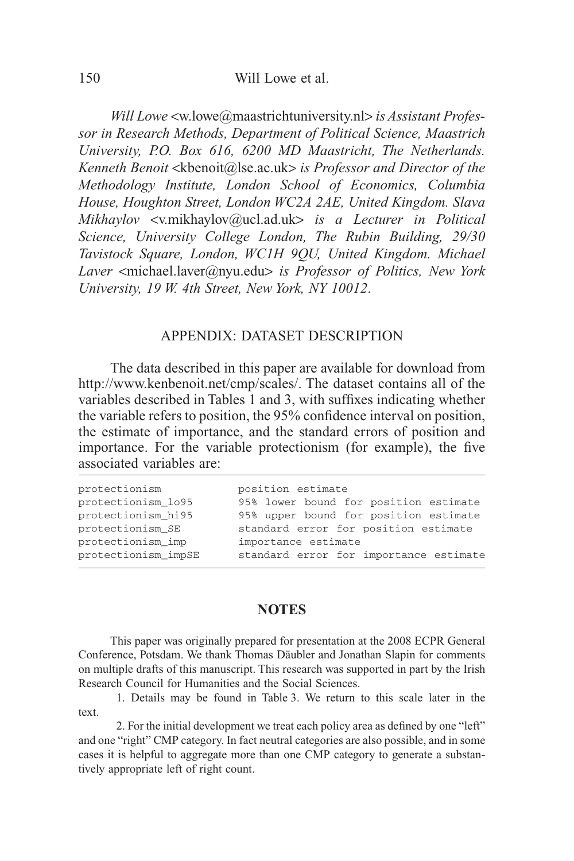*Will Lowe* <w.lowe@maastrichtuniversity.nl> *is Assistant Professor in Research Methods, Department of Political Science, Maastrich University, P.O. Box 616, 6200 MD Maastricht, The Netherlands. Kenneth Benoit* <kbenoit@lse.ac.uk> *is Professor and Director of the Methodology Institute, London School of Economics, Columbia House, Houghton Street, London WC2A 2AE, United Kingdom. Slava Mikhaylov* <v.mikhaylov@ucl.ad.uk> *is a Lecturer in Political Science, University College London, The Rubin Building, 29/30 Tavistock Square, London, WC1H 9QU, United Kingdom. Michael Laver* <michael.laver@nyu.edu> *is Professor of Politics, New York University, 19 W. 4th Street, New York, NY 10012*.

### APPENDIX: DATASET DESCRIPTION

The data described in this paper are available for download from http://www.kenbenoit.net/cmp/scales/. The dataset contains all of the variables described in Tables 1 and 3, with suffixes indicating whether the variable refers to position, the 95% confidence interval on position, the estimate of importance, and the standard errors of position and importance. For the variable protectionism (for example), the five associated variables are:

| protectionism       | position estimate                      |
|---------------------|----------------------------------------|
| protectionism lo95  | 95% lower bound for position estimate  |
| protectionism hi95  | 95% upper bound for position estimate  |
| protectionism SE    | standard error for position estimate   |
| protectionism imp   | importance estimate                    |
| protectionism impSE | standard error for importance estimate |
|                     |                                        |

### **NOTES**

This paper was originally prepared for presentation at the 2008 ECPR General Conference, Potsdam. We thank Thomas Däubler and Jonathan Slapin for comments on multiple drafts of this manuscript. This research was supported in part by the Irish Research Council for Humanities and the Social Sciences.

1. Details may be found in Table 3. We return to this scale later in the text.

2. For the initial development we treat each policy area as defined by one "left" and one "right" CMP category. In fact neutral categories are also possible, and in some cases it is helpful to aggregate more than one CMP category to generate a substantively appropriate left of right count.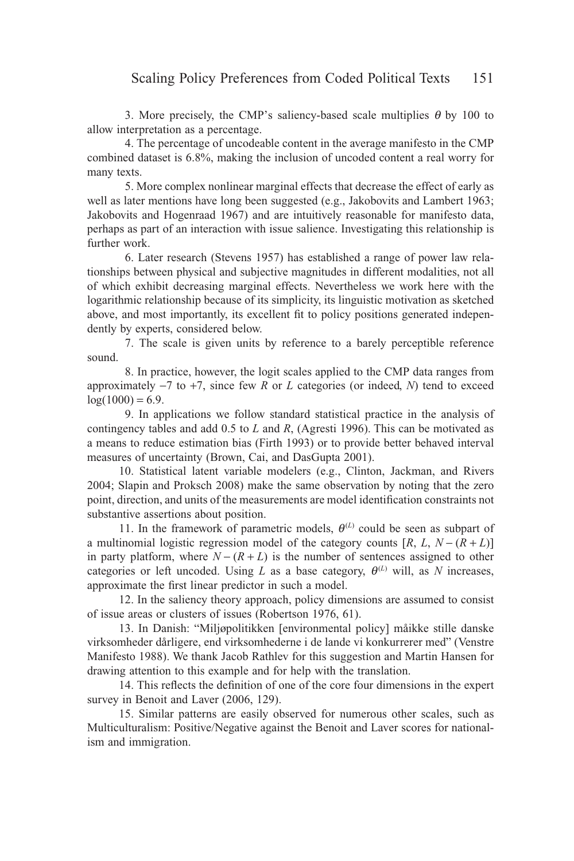3. More precisely, the CMP's saliency-based scale multiplies  $\theta$  by 100 to allow interpretation as a percentage.

4. The percentage of uncodeable content in the average manifesto in the CMP combined dataset is 6.8%, making the inclusion of uncoded content a real worry for many texts.

5. More complex nonlinear marginal effects that decrease the effect of early as well as later mentions have long been suggested (e.g., Jakobovits and Lambert 1963; Jakobovits and Hogenraad 1967) and are intuitively reasonable for manifesto data, perhaps as part of an interaction with issue salience. Investigating this relationship is further work.

6. Later research (Stevens 1957) has established a range of power law relationships between physical and subjective magnitudes in different modalities, not all of which exhibit decreasing marginal effects. Nevertheless we work here with the logarithmic relationship because of its simplicity, its linguistic motivation as sketched above, and most importantly, its excellent fit to policy positions generated independently by experts, considered below.

7. The scale is given units by reference to a barely perceptible reference sound.

8. In practice, however, the logit scales applied to the CMP data ranges from approximately  $-7$  to  $+7$ , since few *R* or *L* categories (or indeed, *N*) tend to exceed  $log(1000) = 6.9.$ 

9. In applications we follow standard statistical practice in the analysis of contingency tables and add 0.5 to *L* and *R*, (Agresti 1996). This can be motivated as a means to reduce estimation bias (Firth 1993) or to provide better behaved interval measures of uncertainty (Brown, Cai, and DasGupta 2001).

10. Statistical latent variable modelers (e.g., Clinton, Jackman, and Rivers 2004; Slapin and Proksch 2008) make the same observation by noting that the zero point, direction, and units of the measurements are model identification constraints not substantive assertions about position.

11. In the framework of parametric models,  $\theta^{(L)}$  could be seen as subpart of a multinomial logistic regression model of the category counts  $[R, L, N - (R + L)]$ in party platform, where  $N - (R + L)$  is the number of sentences assigned to other categories or left uncoded. Using L as a base category,  $\theta^{(L)}$  will, as N increases, approximate the first linear predictor in such a model.

12. In the saliency theory approach, policy dimensions are assumed to consist of issue areas or clusters of issues (Robertson 1976, 61).

13. In Danish: "Miljøpolitikken [environmental policy] måikke stille danske virksomheder dårligere, end virksomhederne i de lande vi konkurrerer med" (Venstre Manifesto 1988). We thank Jacob Rathlev for this suggestion and Martin Hansen for drawing attention to this example and for help with the translation.

14. This reflects the definition of one of the core four dimensions in the expert survey in Benoit and Laver (2006, 129).

15. Similar patterns are easily observed for numerous other scales, such as Multiculturalism: Positive/Negative against the Benoit and Laver scores for nationalism and immigration.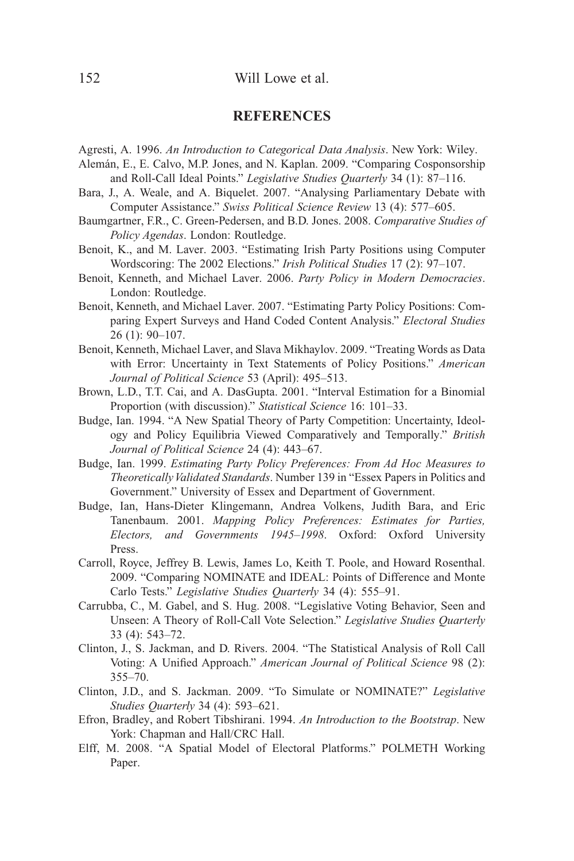### 152 Will Lowe et al.

### **REFERENCES**

Agresti, A. 1996. *An Introduction to Categorical Data Analysis*. New York: Wiley.

- Alemán, E., E. Calvo, M.P. Jones, and N. Kaplan. 2009. "Comparing Cosponsorship and Roll-Call Ideal Points." *Legislative Studies Quarterly* 34 (1): 87–116.
- Bara, J., A. Weale, and A. Biquelet. 2007. "Analysing Parliamentary Debate with Computer Assistance." *Swiss Political Science Review* 13 (4): 577–605.
- Baumgartner, F.R., C. Green-Pedersen, and B.D. Jones. 2008. *Comparative Studies of Policy Agendas*. London: Routledge.
- Benoit, K., and M. Laver. 2003. "Estimating Irish Party Positions using Computer Wordscoring: The 2002 Elections." *Irish Political Studies* 17 (2): 97–107.
- Benoit, Kenneth, and Michael Laver. 2006. *Party Policy in Modern Democracies*. London: Routledge.
- Benoit, Kenneth, and Michael Laver. 2007. "Estimating Party Policy Positions: Comparing Expert Surveys and Hand Coded Content Analysis." *Electoral Studies* 26 (1): 90–107.
- Benoit, Kenneth, Michael Laver, and Slava Mikhaylov. 2009. "Treating Words as Data with Error: Uncertainty in Text Statements of Policy Positions." *American Journal of Political Science* 53 (April): 495–513.
- Brown, L.D., T.T. Cai, and A. DasGupta. 2001. "Interval Estimation for a Binomial Proportion (with discussion)." *Statistical Science* 16: 101–33.
- Budge, Ian. 1994. "A New Spatial Theory of Party Competition: Uncertainty, Ideology and Policy Equilibria Viewed Comparatively and Temporally." *British Journal of Political Science* 24 (4): 443–67.
- Budge, Ian. 1999. *Estimating Party Policy Preferences: From Ad Hoc Measures to Theoretically Validated Standards*. Number 139 in "Essex Papers in Politics and Government." University of Essex and Department of Government.
- Budge, Ian, Hans-Dieter Klingemann, Andrea Volkens, Judith Bara, and Eric Tanenbaum. 2001. *Mapping Policy Preferences: Estimates for Parties, Electors, and Governments 1945–1998*. Oxford: Oxford University Press.
- Carroll, Royce, Jeffrey B. Lewis, James Lo, Keith T. Poole, and Howard Rosenthal. 2009. "Comparing NOMINATE and IDEAL: Points of Difference and Monte Carlo Tests." *Legislative Studies Quarterly* 34 (4): 555–91.
- Carrubba, C., M. Gabel, and S. Hug. 2008. "Legislative Voting Behavior, Seen and Unseen: A Theory of Roll-Call Vote Selection." *Legislative Studies Quarterly* 33 (4): 543–72.
- Clinton, J., S. Jackman, and D. Rivers. 2004. "The Statistical Analysis of Roll Call Voting: A Unified Approach." *American Journal of Political Science* 98 (2): 355–70.
- Clinton, J.D., and S. Jackman. 2009. "To Simulate or NOMINATE?" *Legislative Studies Quarterly* 34 (4): 593–621.
- Efron, Bradley, and Robert Tibshirani. 1994. *An Introduction to the Bootstrap*. New York: Chapman and Hall/CRC Hall.
- Elff, M. 2008. "A Spatial Model of Electoral Platforms." POLMETH Working Paper.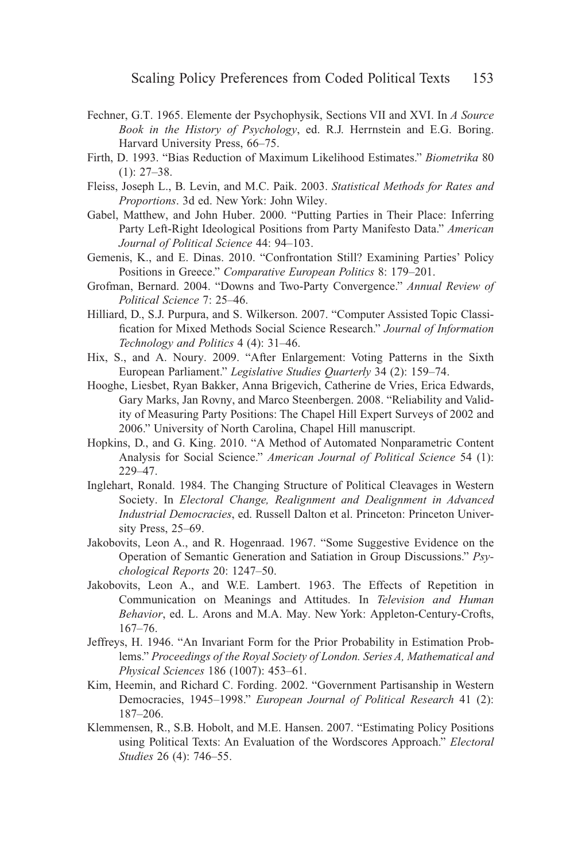- Fechner, G.T. 1965. Elemente der Psychophysik, Sections VII and XVI. In *A Source Book in the History of Psychology*, ed. R.J. Herrnstein and E.G. Boring. Harvard University Press, 66–75.
- Firth, D. 1993. "Bias Reduction of Maximum Likelihood Estimates." *Biometrika* 80  $(1): 27 - 38.$
- Fleiss, Joseph L., B. Levin, and M.C. Paik. 2003. *Statistical Methods for Rates and Proportions*. 3d ed. New York: John Wiley.
- Gabel, Matthew, and John Huber. 2000. "Putting Parties in Their Place: Inferring Party Left-Right Ideological Positions from Party Manifesto Data." *American Journal of Political Science* 44: 94–103.
- Gemenis, K., and E. Dinas. 2010. "Confrontation Still? Examining Parties' Policy Positions in Greece." *Comparative European Politics* 8: 179–201.
- Grofman, Bernard. 2004. "Downs and Two-Party Convergence." *Annual Review of Political Science* 7: 25–46.
- Hilliard, D., S.J. Purpura, and S. Wilkerson. 2007. "Computer Assisted Topic Classification for Mixed Methods Social Science Research." *Journal of Information Technology and Politics* 4 (4): 31–46.
- Hix, S., and A. Noury. 2009. "After Enlargement: Voting Patterns in the Sixth European Parliament." *Legislative Studies Quarterly* 34 (2): 159–74.
- Hooghe, Liesbet, Ryan Bakker, Anna Brigevich, Catherine de Vries, Erica Edwards, Gary Marks, Jan Rovny, and Marco Steenbergen. 2008. "Reliability and Validity of Measuring Party Positions: The Chapel Hill Expert Surveys of 2002 and 2006." University of North Carolina, Chapel Hill manuscript.
- Hopkins, D., and G. King. 2010. "A Method of Automated Nonparametric Content Analysis for Social Science." *American Journal of Political Science* 54 (1): 229–47.
- Inglehart, Ronald. 1984. The Changing Structure of Political Cleavages in Western Society. In *Electoral Change, Realignment and Dealignment in Advanced Industrial Democracies*, ed. Russell Dalton et al. Princeton: Princeton University Press, 25–69.
- Jakobovits, Leon A., and R. Hogenraad. 1967. "Some Suggestive Evidence on the Operation of Semantic Generation and Satiation in Group Discussions." *Psychological Reports* 20: 1247–50.
- Jakobovits, Leon A., and W.E. Lambert. 1963. The Effects of Repetition in Communication on Meanings and Attitudes. In *Television and Human Behavior*, ed. L. Arons and M.A. May. New York: Appleton-Century-Crofts, 167–76.
- Jeffreys, H. 1946. "An Invariant Form for the Prior Probability in Estimation Problems." *Proceedings of the Royal Society of London. Series A, Mathematical and Physical Sciences* 186 (1007): 453–61.
- Kim, Heemin, and Richard C. Fording. 2002. "Government Partisanship in Western Democracies, 1945–1998." *European Journal of Political Research* 41 (2): 187–206.
- Klemmensen, R., S.B. Hobolt, and M.E. Hansen. 2007. "Estimating Policy Positions using Political Texts: An Evaluation of the Wordscores Approach." *Electoral Studies* 26 (4): 746–55.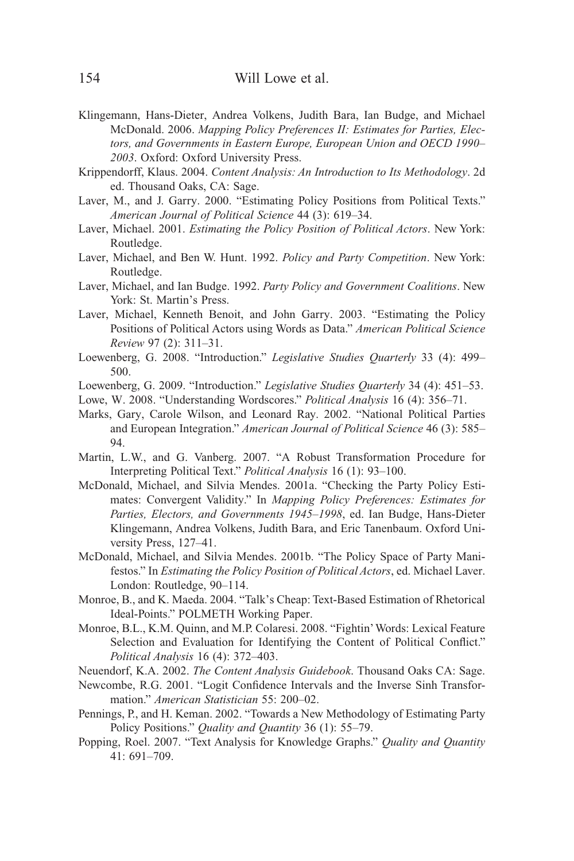- Klingemann, Hans-Dieter, Andrea Volkens, Judith Bara, Ian Budge, and Michael McDonald. 2006. *Mapping Policy Preferences II: Estimates for Parties, Electors, and Governments in Eastern Europe, European Union and OECD 1990*– *2003*. Oxford: Oxford University Press.
- Krippendorff, Klaus. 2004. *Content Analysis: An Introduction to Its Methodology*. 2d ed. Thousand Oaks, CA: Sage.
- Laver, M., and J. Garry. 2000. "Estimating Policy Positions from Political Texts." *American Journal of Political Science* 44 (3): 619–34.
- Laver, Michael. 2001. *Estimating the Policy Position of Political Actors*. New York: Routledge.
- Laver, Michael, and Ben W. Hunt. 1992. *Policy and Party Competition*. New York: Routledge.
- Laver, Michael, and Ian Budge. 1992. *Party Policy and Government Coalitions*. New York: St. Martin's Press.
- Laver, Michael, Kenneth Benoit, and John Garry. 2003. "Estimating the Policy Positions of Political Actors using Words as Data." *American Political Science Review* 97 (2): 311–31.
- Loewenberg, G. 2008. "Introduction." *Legislative Studies Quarterly* 33 (4): 499– 500.
- Loewenberg, G. 2009. "Introduction." *Legislative Studies Quarterly* 34 (4): 451–53.
- Lowe, W. 2008. "Understanding Wordscores." *Political Analysis* 16 (4): 356–71.
- Marks, Gary, Carole Wilson, and Leonard Ray. 2002. "National Political Parties and European Integration." *American Journal of Political Science* 46 (3): 585– 94.
- Martin, L.W., and G. Vanberg. 2007. "A Robust Transformation Procedure for Interpreting Political Text." *Political Analysis* 16 (1): 93–100.
- McDonald, Michael, and Silvia Mendes. 2001a. "Checking the Party Policy Estimates: Convergent Validity." In *Mapping Policy Preferences: Estimates for Parties, Electors, and Governments 1945–1998*, ed. Ian Budge, Hans-Dieter Klingemann, Andrea Volkens, Judith Bara, and Eric Tanenbaum. Oxford University Press, 127–41.
- McDonald, Michael, and Silvia Mendes. 2001b. "The Policy Space of Party Manifestos." In *Estimating the Policy Position of Political Actors*, ed. Michael Laver. London: Routledge, 90–114.
- Monroe, B., and K. Maeda. 2004. "Talk's Cheap: Text-Based Estimation of Rhetorical Ideal-Points." POLMETH Working Paper.
- Monroe, B.L., K.M. Quinn, and M.P. Colaresi. 2008. "Fightin'Words: Lexical Feature Selection and Evaluation for Identifying the Content of Political Conflict." *Political Analysis* 16 (4): 372–403.
- Neuendorf, K.A. 2002. *The Content Analysis Guidebook*. Thousand Oaks CA: Sage.
- Newcombe, R.G. 2001. "Logit Confidence Intervals and the Inverse Sinh Transformation." *American Statistician* 55: 200–02.
- Pennings, P., and H. Keman. 2002. "Towards a New Methodology of Estimating Party Policy Positions." *Quality and Quantity* 36 (1): 55–79.
- Popping, Roel. 2007. "Text Analysis for Knowledge Graphs." *Quality and Quantity* 41: 691–709.